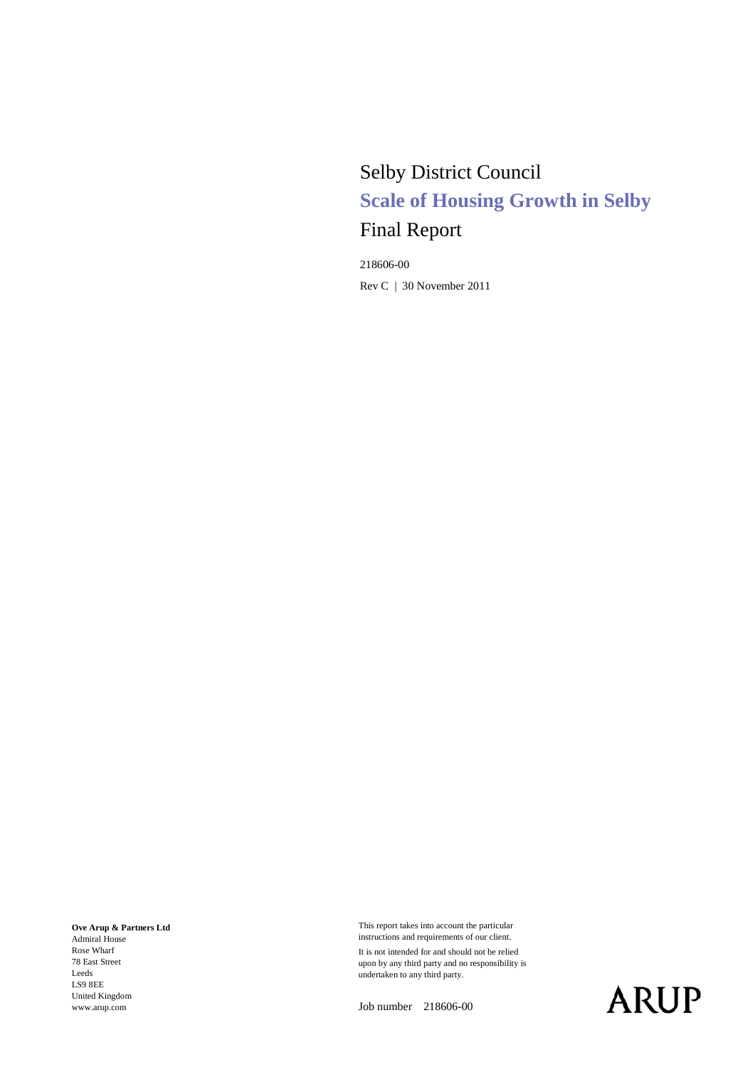# Selby District Council **Scale of Housing Growth in Selby** Final Report

218606-00 Rev C | 30 November 2011

**Ove Arup & Partners Ltd** Admiral House Rose Wharf

<span id="page-0-0"></span>78 East Street Leeds LS9 8EE United Kingdom www.arup.com

This report takes into account the particular instructions and requirements of our client.

It is not intended for and should not be relied upon by any third party and no responsibility is undertaken to any third party.

Job number 218606-00

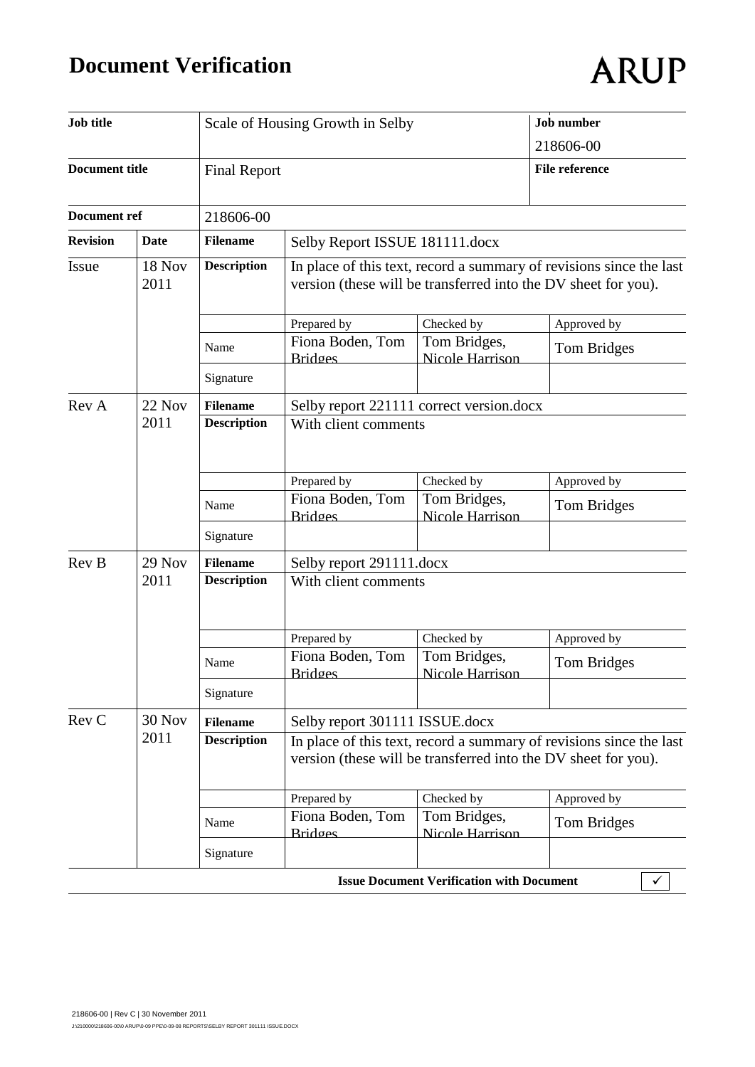# **Document Verification**

|  | ARUP |
|--|------|
|  |      |

| Job title                      |        |                     | Scale of Housing Growth in Selby                                                                                                      | <b>Job</b> number                                                                                                                     |                       |  |  |  |  |  |
|--------------------------------|--------|---------------------|---------------------------------------------------------------------------------------------------------------------------------------|---------------------------------------------------------------------------------------------------------------------------------------|-----------------------|--|--|--|--|--|
|                                |        |                     |                                                                                                                                       | 218606-00                                                                                                                             |                       |  |  |  |  |  |
| <b>Document title</b>          |        | <b>Final Report</b> |                                                                                                                                       |                                                                                                                                       | <b>File reference</b> |  |  |  |  |  |
| Document ref                   |        | 218606-00           |                                                                                                                                       |                                                                                                                                       |                       |  |  |  |  |  |
| <b>Revision</b>                | Date   | <b>Filename</b>     | Selby Report ISSUE 181111.docx                                                                                                        |                                                                                                                                       |                       |  |  |  |  |  |
| <b>18 Nov</b><br>Issue<br>2011 |        | <b>Description</b>  |                                                                                                                                       | In place of this text, record a summary of revisions since the last<br>version (these will be transferred into the DV sheet for you). |                       |  |  |  |  |  |
|                                |        |                     | Prepared by                                                                                                                           | Checked by                                                                                                                            | Approved by           |  |  |  |  |  |
|                                |        | Name                | Fiona Boden, Tom<br><b>Bridges</b>                                                                                                    | Tom Bridges,<br>Nicole Harrison                                                                                                       | Tom Bridges           |  |  |  |  |  |
|                                |        | Signature           |                                                                                                                                       |                                                                                                                                       |                       |  |  |  |  |  |
| Rev A                          | 22 Nov | <b>Filename</b>     |                                                                                                                                       | Selby report 221111 correct version.docx                                                                                              |                       |  |  |  |  |  |
|                                | 2011   | <b>Description</b>  | With client comments                                                                                                                  |                                                                                                                                       |                       |  |  |  |  |  |
|                                |        |                     | Prepared by                                                                                                                           | Checked by                                                                                                                            | Approved by           |  |  |  |  |  |
|                                |        | Name                | Fiona Boden, Tom<br><b>Bridges</b>                                                                                                    | Tom Bridges,<br>Nicole Harrison                                                                                                       | Tom Bridges           |  |  |  |  |  |
|                                |        | Signature           |                                                                                                                                       |                                                                                                                                       |                       |  |  |  |  |  |
| Rev B                          | 29 Nov | <b>Filename</b>     | Selby report 291111.docx                                                                                                              |                                                                                                                                       |                       |  |  |  |  |  |
|                                | 2011   | <b>Description</b>  | With client comments                                                                                                                  |                                                                                                                                       |                       |  |  |  |  |  |
|                                |        |                     | Prepared by                                                                                                                           | Checked by                                                                                                                            | Approved by           |  |  |  |  |  |
|                                |        | Name                | Fiona Boden, Tom<br><b>Bridges</b>                                                                                                    | Tom Bridges,<br>Nicole Harrison                                                                                                       | Tom Bridges           |  |  |  |  |  |
|                                |        | Signature           |                                                                                                                                       |                                                                                                                                       |                       |  |  |  |  |  |
| Rev C                          | 30 Nov | <b>Filename</b>     | Selby report 301111 ISSUE.docx                                                                                                        |                                                                                                                                       |                       |  |  |  |  |  |
|                                | 2011   | <b>Description</b>  | In place of this text, record a summary of revisions since the last<br>version (these will be transferred into the DV sheet for you). |                                                                                                                                       |                       |  |  |  |  |  |
|                                |        |                     | Prepared by                                                                                                                           | Checked by                                                                                                                            | Approved by           |  |  |  |  |  |
|                                |        | Name                | Fiona Boden, Tom<br><b>Bridges</b>                                                                                                    | Tom Bridges,<br>Nicole Harrison                                                                                                       | Tom Bridges           |  |  |  |  |  |
|                                |        | Signature           |                                                                                                                                       |                                                                                                                                       |                       |  |  |  |  |  |
|                                |        |                     |                                                                                                                                       | <b>Issue Document Verification with Document</b>                                                                                      | ✓                     |  |  |  |  |  |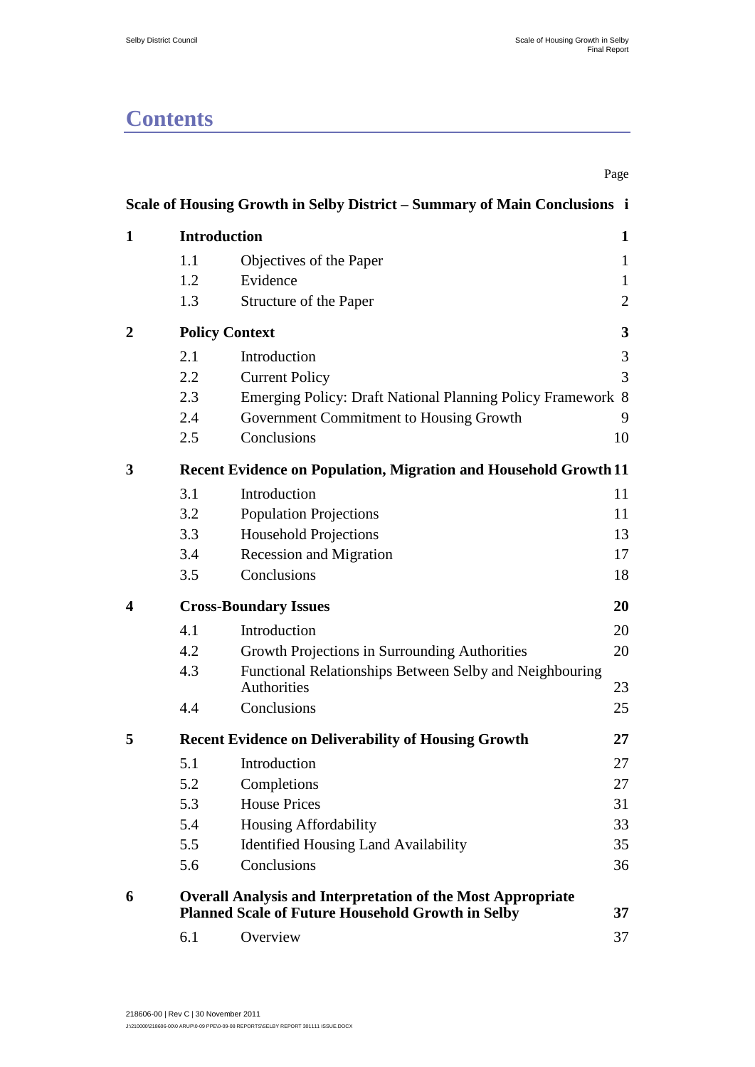# **Contents**

|   |     |                                                                               | Page         |
|---|-----|-------------------------------------------------------------------------------|--------------|
|   |     | Scale of Housing Growth in Selby District - Summary of Main Conclusions i     |              |
| 1 |     | <b>Introduction</b>                                                           | 1            |
|   | 1.1 | Objectives of the Paper                                                       | $\mathbf{1}$ |
|   | 1.2 | Evidence                                                                      | $\mathbf{1}$ |
|   | 1.3 | Structure of the Paper                                                        | $\mathbf{2}$ |
| 2 |     | <b>Policy Context</b>                                                         | 3            |
|   | 2.1 | Introduction                                                                  | 3            |
|   | 2.2 | <b>Current Policy</b>                                                         | 3            |
|   | 2.3 | Emerging Policy: Draft National Planning Policy Framework 8                   |              |
|   | 2.4 | Government Commitment to Housing Growth                                       | 9            |
|   | 2.5 | Conclusions                                                                   | 10           |
| 3 |     | <b>Recent Evidence on Population, Migration and Household Growth 11</b>       |              |
|   | 3.1 | Introduction                                                                  | 11           |
|   | 3.2 | <b>Population Projections</b>                                                 | 11           |
|   | 3.3 | <b>Household Projections</b>                                                  | 13           |
|   | 3.4 | <b>Recession and Migration</b>                                                | 17           |
|   | 3.5 | Conclusions                                                                   | 18           |
| 4 |     | <b>Cross-Boundary Issues</b>                                                  | 20           |
|   | 4.1 | Introduction                                                                  | 20           |
|   | 4.2 | Growth Projections in Surrounding Authorities                                 | 20           |
|   | 4.3 | Functional Relationships Between Selby and Neighbouring<br><b>Authorities</b> | 23           |
|   | 4.4 | Conclusions                                                                   | 25           |
| 5 |     | <b>Recent Evidence on Deliverability of Housing Growth</b>                    | 27           |
|   | 5.1 | Introduction                                                                  | 27           |
|   | 5.2 | Completions                                                                   | 27           |
|   | 5.3 | <b>House Prices</b>                                                           | 31           |
|   | 5.4 | Housing Affordability                                                         | 33           |
|   | 5.5 | <b>Identified Housing Land Availability</b>                                   | 35           |
|   | 5.6 | Conclusions                                                                   | 36           |
| 6 |     | <b>Overall Analysis and Interpretation of the Most Appropriate</b>            |              |
|   |     | <b>Planned Scale of Future Household Growth in Selby</b>                      | 37           |
|   | 6.1 | Overview                                                                      | 37           |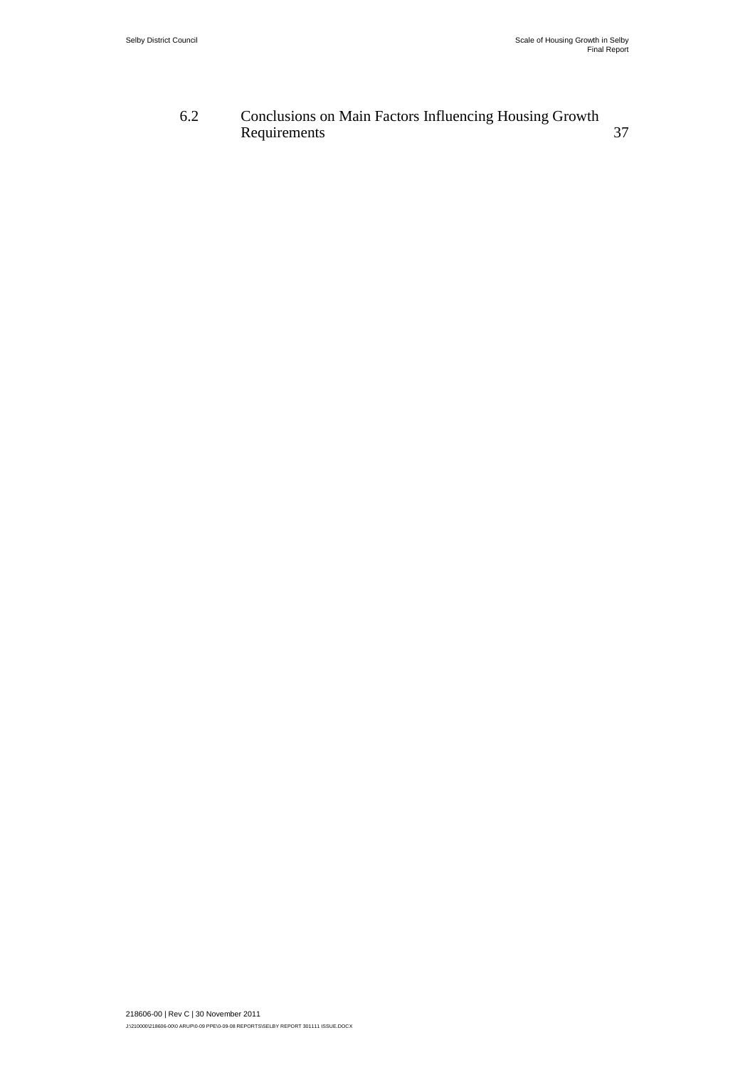#### 6.2 [Conclusions on Main Factors Influencing Housing Growth](#page--1-2)  [Requirements](#page--1-2) 37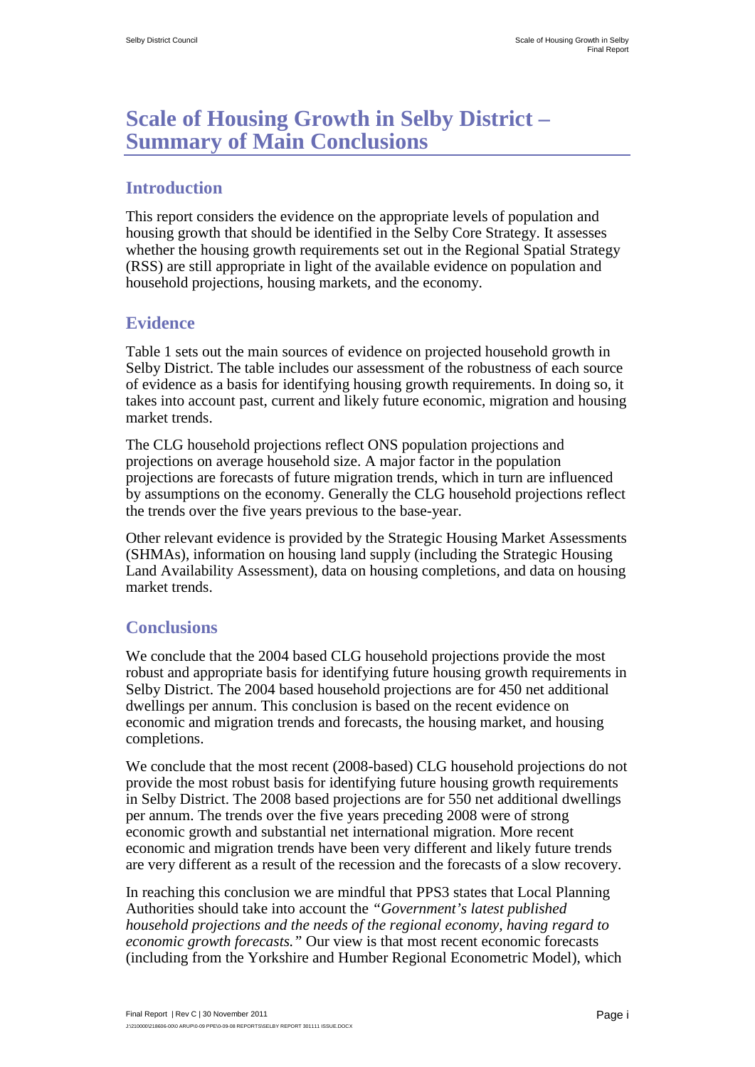## <span id="page-6-0"></span>**Scale of Housing Growth in Selby District – Summary of Main Conclusions**

#### **Introduction**

This report considers the evidence on the appropriate levels of population and housing growth that should be identified in the Selby Core Strategy. It assesses whether the housing growth requirements set out in the Regional Spatial Strategy (RSS) are still appropriate in light of the available evidence on population and household projections, housing markets, and the economy.

#### **Evidence**

Table 1 sets out the main sources of evidence on projected household growth in Selby District. The table includes our assessment of the robustness of each source of evidence as a basis for identifying housing growth requirements. In doing so, it takes into account past, current and likely future economic, migration and housing market trends.

The CLG household projections reflect ONS population projections and projections on average household size. A major factor in the population projections are forecasts of future migration trends, which in turn are influenced by assumptions on the economy. Generally the CLG household projections reflect the trends over the five years previous to the base-year.

Other relevant evidence is provided by the Strategic Housing Market Assessments (SHMAs), information on housing land supply (including the Strategic Housing Land Availability Assessment), data on housing completions, and data on housing market trends.

### **Conclusions**

We conclude that the 2004 based CLG household projections provide the most robust and appropriate basis for identifying future housing growth requirements in Selby District. The 2004 based household projections are for 450 net additional dwellings per annum. This conclusion is based on the recent evidence on economic and migration trends and forecasts, the housing market, and housing completions.

We conclude that the most recent (2008-based) CLG household projections do not provide the most robust basis for identifying future housing growth requirements in Selby District. The 2008 based projections are for 550 net additional dwellings per annum. The trends over the five years preceding 2008 were of strong economic growth and substantial net international migration. More recent economic and migration trends have been very different and likely future trends are very different as a result of the recession and the forecasts of a slow recovery.

In reaching this conclusion we are mindful that PPS3 states that Local Planning Authorities should take into account the *"Government's latest published household projections and the needs of the regional economy, having regard to economic growth forecasts."* Our view is that most recent economic forecasts (including from the Yorkshire and Humber Regional Econometric Model), which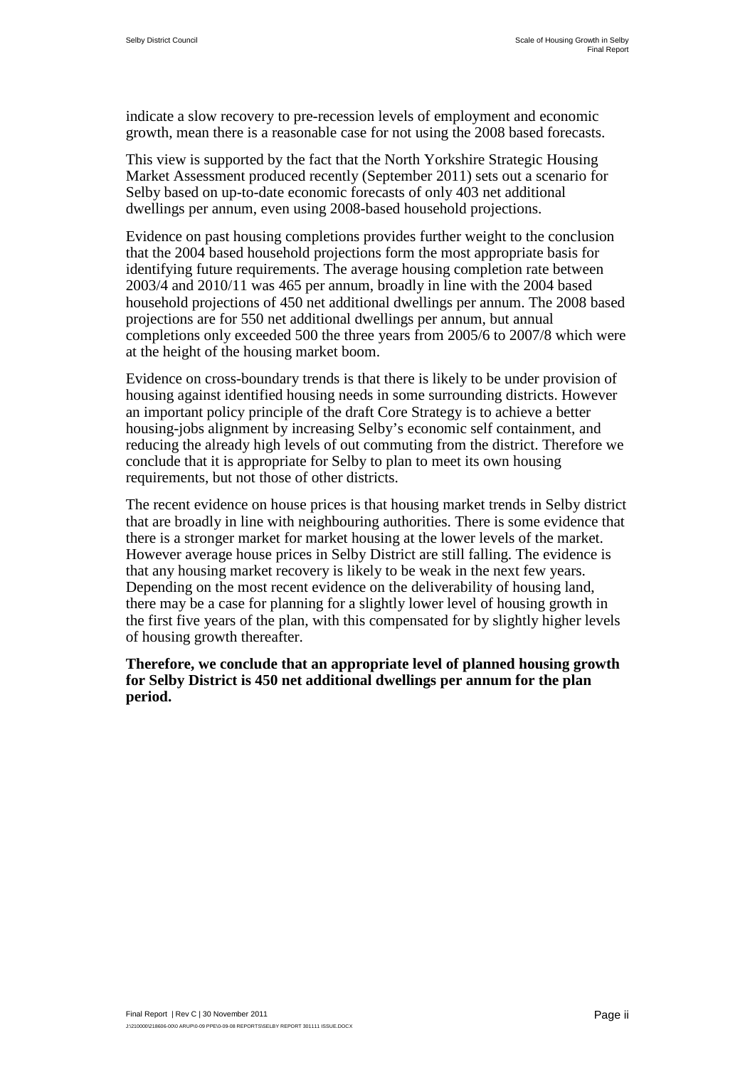indicate a slow recovery to pre-recession levels of employment and economic growth, mean there is a reasonable case for not using the 2008 based forecasts.

This view is supported by the fact that the North Yorkshire Strategic Housing Market Assessment produced recently (September 2011) sets out a scenario for Selby based on up-to-date economic forecasts of only 403 net additional dwellings per annum, even using 2008-based household projections.

Evidence on past housing completions provides further weight to the conclusion that the 2004 based household projections form the most appropriate basis for identifying future requirements. The average housing completion rate between 2003/4 and 2010/11 was 465 per annum, broadly in line with the 2004 based household projections of 450 net additional dwellings per annum. The 2008 based projections are for 550 net additional dwellings per annum, but annual completions only exceeded 500 the three years from 2005/6 to 2007/8 which were at the height of the housing market boom.

Evidence on cross-boundary trends is that there is likely to be under provision of housing against identified housing needs in some surrounding districts. However an important policy principle of the draft Core Strategy is to achieve a better housing-jobs alignment by increasing Selby's economic self containment, and reducing the already high levels of out commuting from the district. Therefore we conclude that it is appropriate for Selby to plan to meet its own housing requirements, but not those of other districts.

The recent evidence on house prices is that housing market trends in Selby district that are broadly in line with neighbouring authorities. There is some evidence that there is a stronger market for market housing at the lower levels of the market. However average house prices in Selby District are still falling. The evidence is that any housing market recovery is likely to be weak in the next few years. Depending on the most recent evidence on the deliverability of housing land, there may be a case for planning for a slightly lower level of housing growth in the first five years of the plan, with this compensated for by slightly higher levels of housing growth thereafter.

**Therefore, we conclude that an appropriate level of planned housing growth for Selby District is 450 net additional dwellings per annum for the plan period.**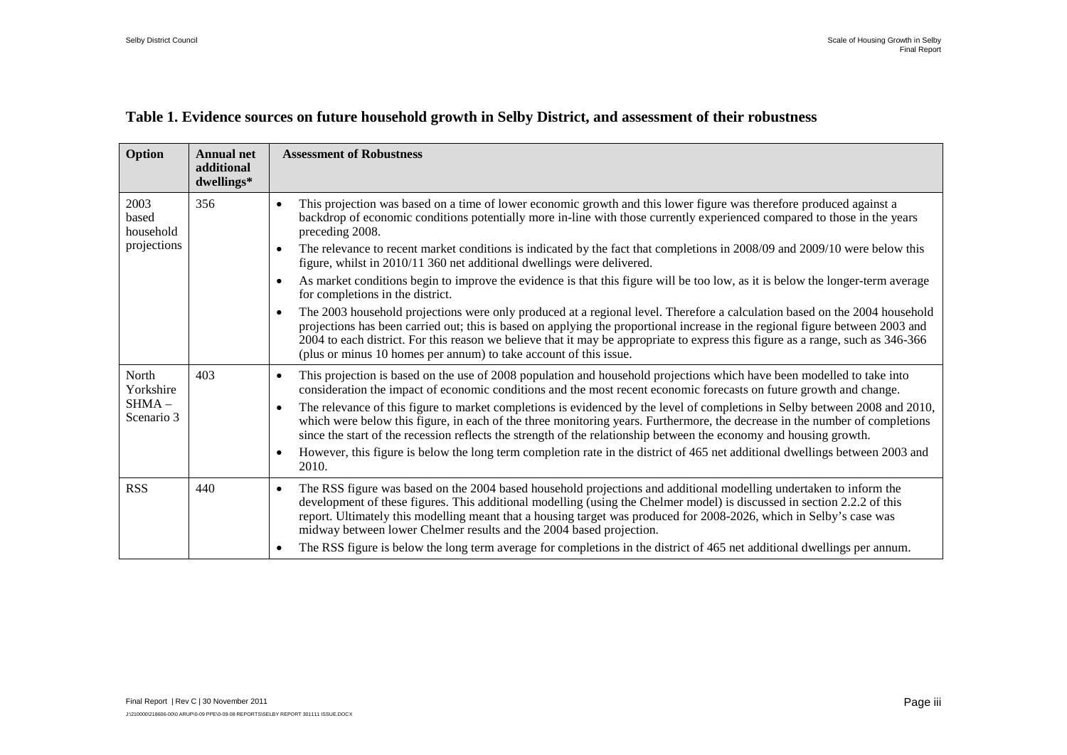#### **Table 1. Evidence sources on future household growth in Selby District, and assessment of their robustness**

| Option                     | <b>Annual net</b><br>additional<br>dwellings* | <b>Assessment of Robustness</b>                                                                                                                                                                                                                                                                                                                                                                                                                                                  |
|----------------------------|-----------------------------------------------|----------------------------------------------------------------------------------------------------------------------------------------------------------------------------------------------------------------------------------------------------------------------------------------------------------------------------------------------------------------------------------------------------------------------------------------------------------------------------------|
| 2003<br>based<br>household | 356                                           | This projection was based on a time of lower economic growth and this lower figure was therefore produced against a<br>$\bullet$<br>backdrop of economic conditions potentially more in-line with those currently experienced compared to those in the years<br>preceding 2008.                                                                                                                                                                                                  |
| projections                |                                               | The relevance to recent market conditions is indicated by the fact that completions in 2008/09 and 2009/10 were below this<br>$\bullet$<br>figure, whilst in 2010/11 360 net additional dwellings were delivered.                                                                                                                                                                                                                                                                |
|                            |                                               | As market conditions begin to improve the evidence is that this figure will be too low, as it is below the longer-term average<br>$\bullet$<br>for completions in the district.                                                                                                                                                                                                                                                                                                  |
|                            |                                               | The 2003 household projections were only produced at a regional level. Therefore a calculation based on the 2004 household<br>$\bullet$<br>projections has been carried out; this is based on applying the proportional increase in the regional figure between 2003 and<br>2004 to each district. For this reason we believe that it may be appropriate to express this figure as a range, such as 346-366<br>(plus or minus 10 homes per annum) to take account of this issue. |
| North<br>Yorkshire         | 403                                           | This projection is based on the use of 2008 population and household projections which have been modelled to take into<br>$\bullet$<br>consideration the impact of economic conditions and the most recent economic forecasts on future growth and change.                                                                                                                                                                                                                       |
| $SHMA -$<br>Scenario 3     |                                               | The relevance of this figure to market completions is evidenced by the level of completions in Selby between 2008 and 2010,<br>$\bullet$<br>which were below this figure, in each of the three monitoring years. Furthermore, the decrease in the number of completions<br>since the start of the recession reflects the strength of the relationship between the economy and housing growth.                                                                                    |
|                            |                                               | However, this figure is below the long term completion rate in the district of 465 net additional dwellings between 2003 and<br>$\bullet$<br>2010.                                                                                                                                                                                                                                                                                                                               |
| <b>RSS</b>                 | 440                                           | The RSS figure was based on the 2004 based household projections and additional modelling undertaken to inform the<br>$\bullet$<br>development of these figures. This additional modelling (using the Chelmer model) is discussed in section 2.2.2 of this<br>report. Ultimately this modelling meant that a housing target was produced for 2008-2026, which in Selby's case was<br>midway between lower Chelmer results and the 2004 based projection.                         |
|                            |                                               | The RSS figure is below the long term average for completions in the district of 465 net additional dwellings per annum.<br>$\bullet$                                                                                                                                                                                                                                                                                                                                            |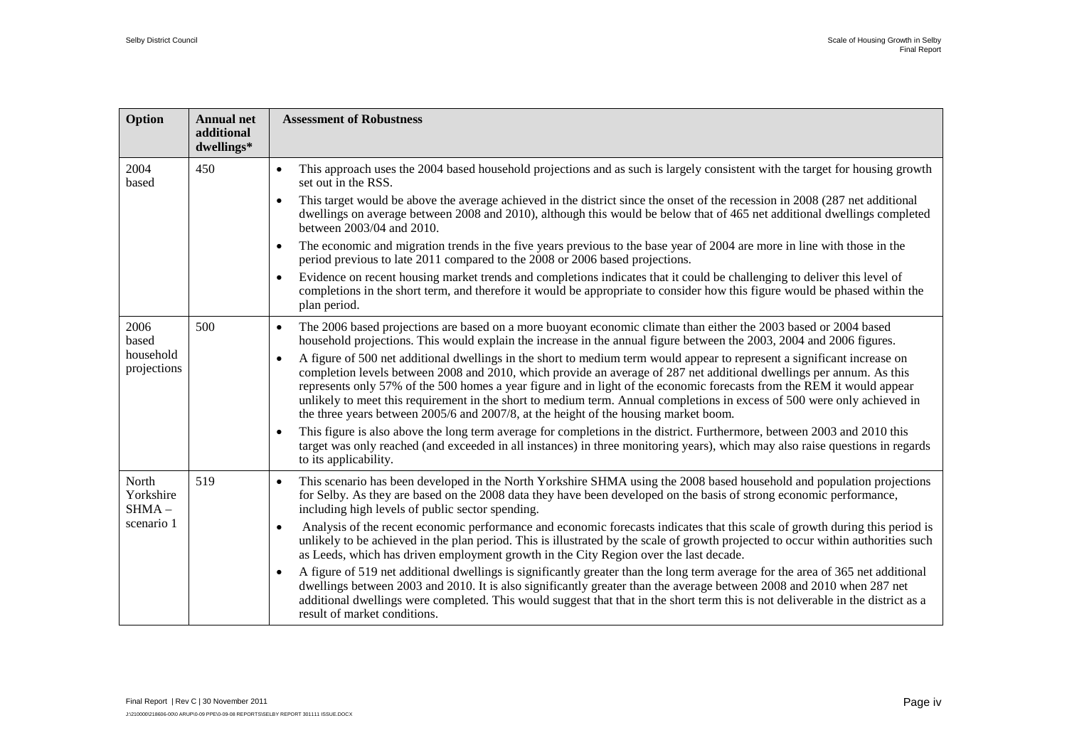| Option                         | <b>Annual net</b><br>additional<br>dwellings* | <b>Assessment of Robustness</b>                                                                                                                                                                                                                                                                                                                                                                                                           |  |  |  |  |                                                                                                                                                                                                                                                                                                                                                                                                                                                                                                                                                                                                             |
|--------------------------------|-----------------------------------------------|-------------------------------------------------------------------------------------------------------------------------------------------------------------------------------------------------------------------------------------------------------------------------------------------------------------------------------------------------------------------------------------------------------------------------------------------|--|--|--|--|-------------------------------------------------------------------------------------------------------------------------------------------------------------------------------------------------------------------------------------------------------------------------------------------------------------------------------------------------------------------------------------------------------------------------------------------------------------------------------------------------------------------------------------------------------------------------------------------------------------|
| 2004<br>based                  | 450                                           | This approach uses the 2004 based household projections and as such is largely consistent with the target for housing growth<br>$\bullet$<br>set out in the RSS.                                                                                                                                                                                                                                                                          |  |  |  |  |                                                                                                                                                                                                                                                                                                                                                                                                                                                                                                                                                                                                             |
|                                |                                               | This target would be above the average achieved in the district since the onset of the recession in 2008 (287 net additional<br>$\bullet$<br>dwellings on average between 2008 and 2010), although this would be below that of 465 net additional dwellings completed<br>between 2003/04 and 2010.                                                                                                                                        |  |  |  |  |                                                                                                                                                                                                                                                                                                                                                                                                                                                                                                                                                                                                             |
|                                |                                               | The economic and migration trends in the five years previous to the base year of 2004 are more in line with those in the<br>period previous to late 2011 compared to the 2008 or 2006 based projections.                                                                                                                                                                                                                                  |  |  |  |  |                                                                                                                                                                                                                                                                                                                                                                                                                                                                                                                                                                                                             |
|                                |                                               | Evidence on recent housing market trends and completions indicates that it could be challenging to deliver this level of<br>$\bullet$<br>completions in the short term, and therefore it would be appropriate to consider how this figure would be phased within the<br>plan period.                                                                                                                                                      |  |  |  |  |                                                                                                                                                                                                                                                                                                                                                                                                                                                                                                                                                                                                             |
| 2006<br>based                  | 500                                           | The 2006 based projections are based on a more buoyant economic climate than either the 2003 based or 2004 based<br>$\bullet$<br>household projections. This would explain the increase in the annual figure between the 2003, 2004 and 2006 figures.                                                                                                                                                                                     |  |  |  |  |                                                                                                                                                                                                                                                                                                                                                                                                                                                                                                                                                                                                             |
| household<br>projections       |                                               |                                                                                                                                                                                                                                                                                                                                                                                                                                           |  |  |  |  | A figure of 500 net additional dwellings in the short to medium term would appear to represent a significant increase on<br>$\bullet$<br>completion levels between 2008 and 2010, which provide an average of 287 net additional dwellings per annum. As this<br>represents only 57% of the 500 homes a year figure and in light of the economic forecasts from the REM it would appear<br>unlikely to meet this requirement in the short to medium term. Annual completions in excess of 500 were only achieved in<br>the three years between 2005/6 and 2007/8, at the height of the housing market boom. |
|                                |                                               | This figure is also above the long term average for completions in the district. Furthermore, between 2003 and 2010 this<br>$\bullet$<br>target was only reached (and exceeded in all instances) in three monitoring years), which may also raise questions in regards<br>to its applicability.                                                                                                                                           |  |  |  |  |                                                                                                                                                                                                                                                                                                                                                                                                                                                                                                                                                                                                             |
| North<br>Yorkshire<br>$SHMA -$ | 519                                           | This scenario has been developed in the North Yorkshire SHMA using the 2008 based household and population projections<br>$\bullet$<br>for Selby. As they are based on the 2008 data they have been developed on the basis of strong economic performance,<br>including high levels of public sector spending.                                                                                                                            |  |  |  |  |                                                                                                                                                                                                                                                                                                                                                                                                                                                                                                                                                                                                             |
| scenario 1                     |                                               | Analysis of the recent economic performance and economic forecasts indicates that this scale of growth during this period is<br>$\bullet$<br>unlikely to be achieved in the plan period. This is illustrated by the scale of growth projected to occur within authorities such<br>as Leeds, which has driven employment growth in the City Region over the last decade.                                                                   |  |  |  |  |                                                                                                                                                                                                                                                                                                                                                                                                                                                                                                                                                                                                             |
|                                |                                               | A figure of 519 net additional dwellings is significantly greater than the long term average for the area of 365 net additional<br>$\bullet$<br>dwellings between 2003 and 2010. It is also significantly greater than the average between 2008 and 2010 when 287 net<br>additional dwellings were completed. This would suggest that that in the short term this is not deliverable in the district as a<br>result of market conditions. |  |  |  |  |                                                                                                                                                                                                                                                                                                                                                                                                                                                                                                                                                                                                             |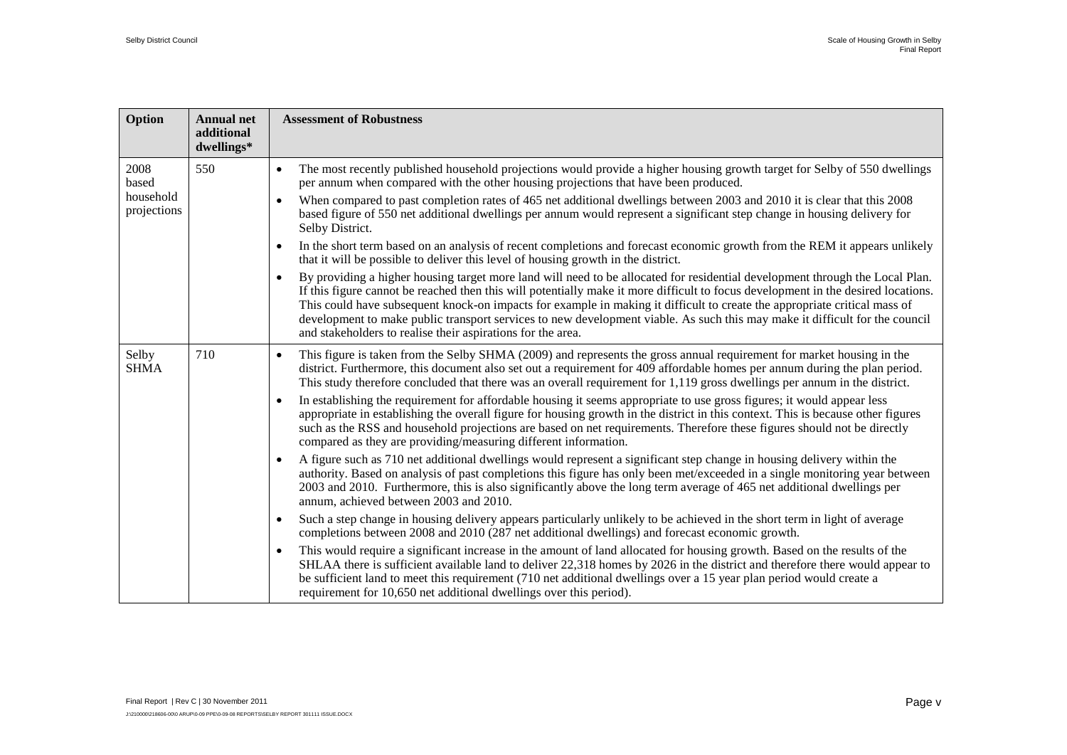| Option                   | <b>Annual net</b><br>additional<br>dwellings* | <b>Assessment of Robustness</b>                                                                                                                                                                                                                                                                                                                                                                                                                                                                                                                                                                           |
|--------------------------|-----------------------------------------------|-----------------------------------------------------------------------------------------------------------------------------------------------------------------------------------------------------------------------------------------------------------------------------------------------------------------------------------------------------------------------------------------------------------------------------------------------------------------------------------------------------------------------------------------------------------------------------------------------------------|
| 2008<br>based            | 550                                           | The most recently published household projections would provide a higher housing growth target for Selby of 550 dwellings<br>$\bullet$<br>per annum when compared with the other housing projections that have been produced.                                                                                                                                                                                                                                                                                                                                                                             |
| household<br>projections |                                               | When compared to past completion rates of 465 net additional dwellings between 2003 and 2010 it is clear that this 2008<br>based figure of 550 net additional dwellings per annum would represent a significant step change in housing delivery for<br>Selby District.                                                                                                                                                                                                                                                                                                                                    |
|                          |                                               | In the short term based on an analysis of recent completions and forecast economic growth from the REM it appears unlikely<br>$\bullet$<br>that it will be possible to deliver this level of housing growth in the district.                                                                                                                                                                                                                                                                                                                                                                              |
|                          |                                               | By providing a higher housing target more land will need to be allocated for residential development through the Local Plan.<br>$\bullet$<br>If this figure cannot be reached then this will potentially make it more difficult to focus development in the desired locations.<br>This could have subsequent knock-on impacts for example in making it difficult to create the appropriate critical mass of<br>development to make public transport services to new development viable. As such this may make it difficult for the council<br>and stakeholders to realise their aspirations for the area. |
| Selby<br><b>SHMA</b>     | 710                                           | This figure is taken from the Selby SHMA (2009) and represents the gross annual requirement for market housing in the<br>$\bullet$<br>district. Furthermore, this document also set out a requirement for 409 affordable homes per annum during the plan period.<br>This study therefore concluded that there was an overall requirement for 1,119 gross dwellings per annum in the district.                                                                                                                                                                                                             |
|                          |                                               | In establishing the requirement for affordable housing it seems appropriate to use gross figures; it would appear less<br>$\bullet$<br>appropriate in establishing the overall figure for housing growth in the district in this context. This is because other figures<br>such as the RSS and household projections are based on net requirements. Therefore these figures should not be directly<br>compared as they are providing/measuring different information.                                                                                                                                     |
|                          |                                               | A figure such as 710 net additional dwellings would represent a significant step change in housing delivery within the<br>$\bullet$<br>authority. Based on analysis of past completions this figure has only been met/exceeded in a single monitoring year between<br>2003 and 2010. Furthermore, this is also significantly above the long term average of 465 net additional dwellings per<br>annum, achieved between 2003 and 2010.                                                                                                                                                                    |
|                          |                                               | Such a step change in housing delivery appears particularly unlikely to be achieved in the short term in light of average<br>$\bullet$<br>completions between 2008 and 2010 (287 net additional dwellings) and forecast economic growth.                                                                                                                                                                                                                                                                                                                                                                  |
|                          |                                               | This would require a significant increase in the amount of land allocated for housing growth. Based on the results of the<br>$\bullet$<br>SHLAA there is sufficient available land to deliver 22,318 homes by 2026 in the district and therefore there would appear to<br>be sufficient land to meet this requirement (710 net additional dwellings over a 15 year plan period would create a<br>requirement for 10,650 net additional dwellings over this period).                                                                                                                                       |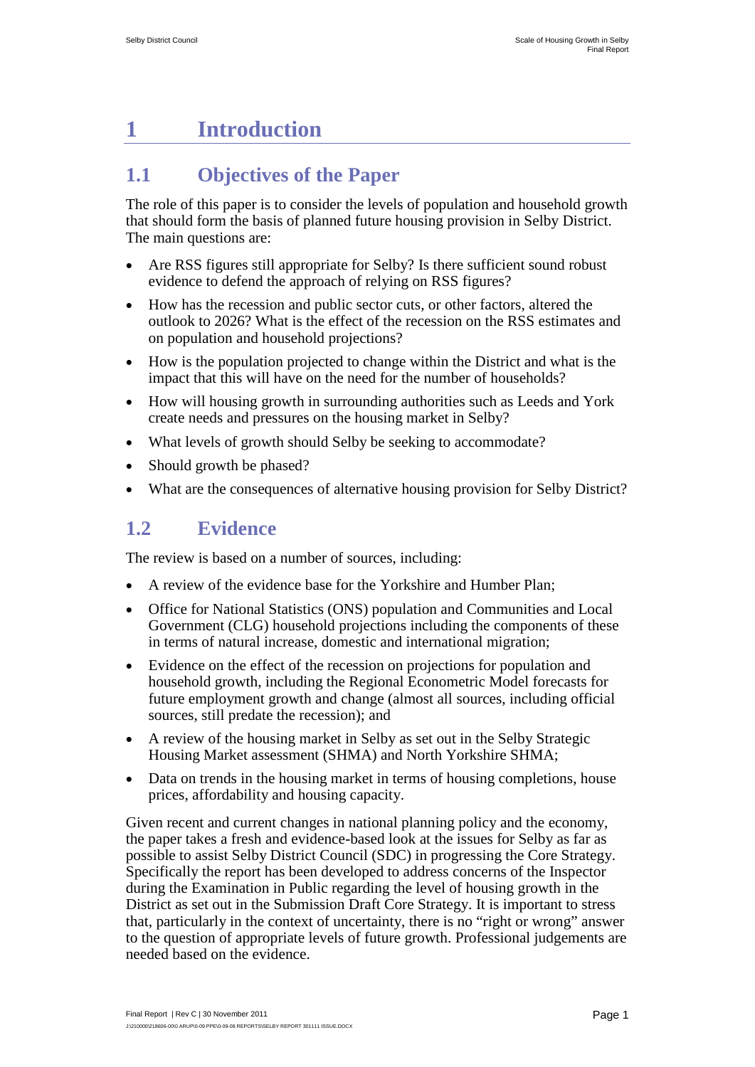# <span id="page-11-0"></span>**1 Introduction**

## <span id="page-11-1"></span>**1.1 Objectives of the Paper**

The role of this paper is to consider the levels of population and household growth that should form the basis of planned future housing provision in Selby District. The main questions are:

- Are RSS figures still appropriate for Selby? Is there sufficient sound robust evidence to defend the approach of relying on RSS figures?
- How has the recession and public sector cuts, or other factors, altered the outlook to 2026? What is the effect of the recession on the RSS estimates and on population and household projections?
- How is the population projected to change within the District and what is the impact that this will have on the need for the number of households?
- How will housing growth in surrounding authorities such as Leeds and York create needs and pressures on the housing market in Selby?
- What levels of growth should Selby be seeking to accommodate?
- Should growth be phased?
- What are the consequences of alternative housing provision for Selby District?

## <span id="page-11-2"></span>**1.2 Evidence**

The review is based on a number of sources, including:

- A review of the evidence base for the Yorkshire and Humber Plan;
- Office for National Statistics (ONS) population and Communities and Local Government (CLG) household projections including the components of these in terms of natural increase, domestic and international migration;
- Evidence on the effect of the recession on projections for population and household growth, including the Regional Econometric Model forecasts for future employment growth and change (almost all sources, including official sources, still predate the recession); and
- A review of the housing market in Selby as set out in the Selby Strategic Housing Market assessment (SHMA) and North Yorkshire SHMA;
- Data on trends in the housing market in terms of housing completions, house prices, affordability and housing capacity.

Given recent and current changes in national planning policy and the economy, the paper takes a fresh and evidence-based look at the issues for Selby as far as possible to assist Selby District Council (SDC) in progressing the Core Strategy. Specifically the report has been developed to address concerns of the Inspector during the Examination in Public regarding the level of housing growth in the District as set out in the Submission Draft Core Strategy. It is important to stress that, particularly in the context of uncertainty, there is no "right or wrong" answer to the question of appropriate levels of future growth. Professional judgements are needed based on the evidence.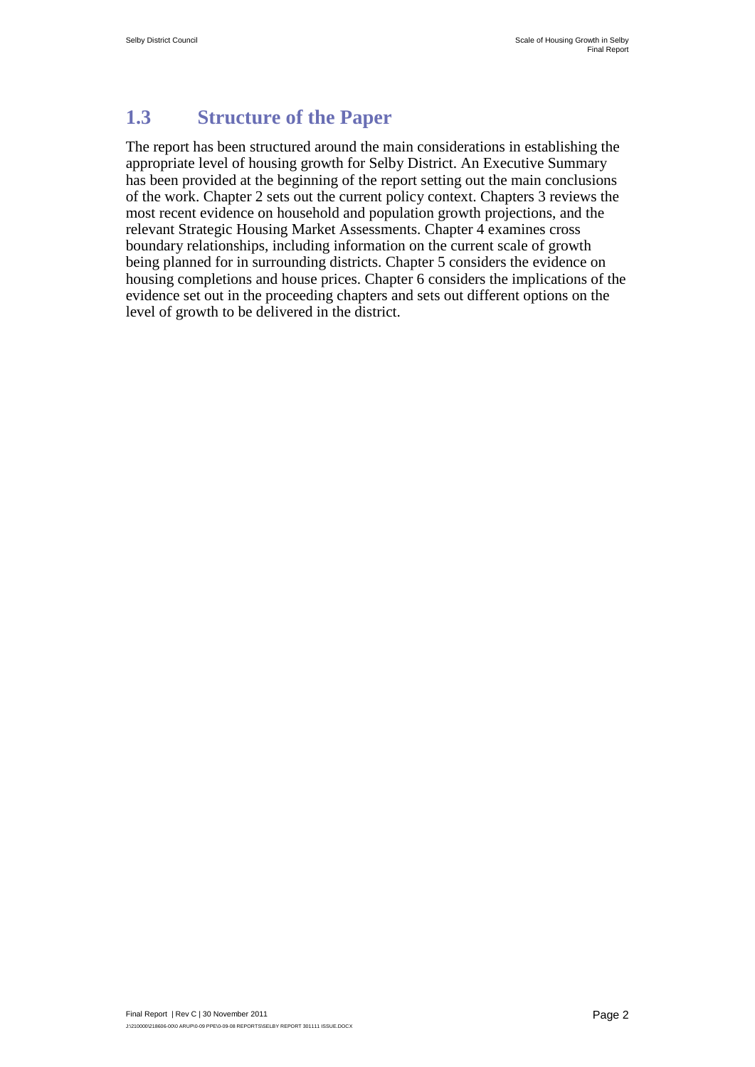## <span id="page-12-0"></span>**1.3 Structure of the Paper**

The report has been structured around the main considerations in establishing the appropriate level of housing growth for Selby District. An Executive Summary has been provided at the beginning of the report setting out the main conclusions of the work. Chapter 2 sets out the current policy context. Chapters 3 reviews the most recent evidence on household and population growth projections, and the relevant Strategic Housing Market Assessments. Chapter 4 examines cross boundary relationships, including information on the current scale of growth being planned for in surrounding districts. Chapter 5 considers the evidence on housing completions and house prices. Chapter 6 considers the implications of the evidence set out in the proceeding chapters and sets out different options on the level of growth to be delivered in the district.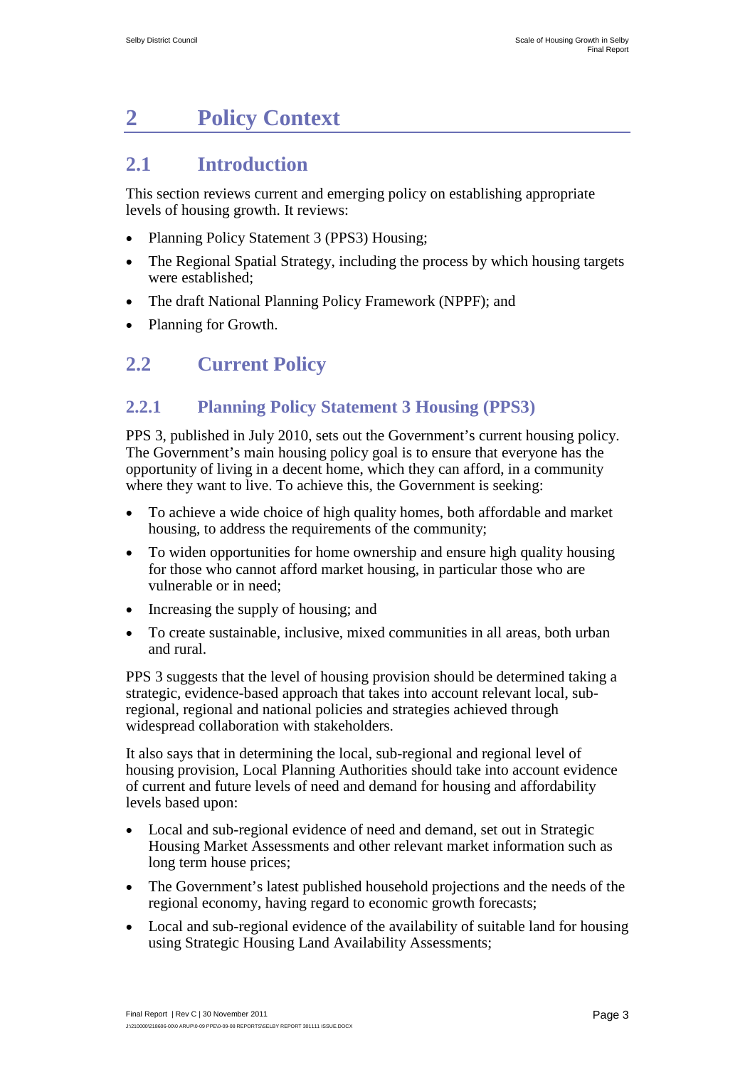# <span id="page-13-0"></span>**2 Policy Context**

## <span id="page-13-1"></span>**2.1 Introduction**

This section reviews current and emerging policy on establishing appropriate levels of housing growth. It reviews:

- Planning Policy Statement 3 (PPS3) Housing:
- The Regional Spatial Strategy, including the process by which housing targets were established;
- The draft National Planning Policy Framework (NPPF); and
- Planning for Growth.

## <span id="page-13-2"></span>**2.2 Current Policy**

## **2.2.1 Planning Policy Statement 3 Housing (PPS3)**

PPS 3, published in July 2010, sets out the Government's current housing policy. The Government's main housing policy goal is to ensure that everyone has the opportunity of living in a decent home, which they can afford, in a community where they want to live. To achieve this, the Government is seeking:

- To achieve a wide choice of high quality homes, both affordable and market housing, to address the requirements of the community;
- To widen opportunities for home ownership and ensure high quality housing for those who cannot afford market housing, in particular those who are vulnerable or in need;
- Increasing the supply of housing; and
- To create sustainable, inclusive, mixed communities in all areas, both urban and rural.

PPS 3 suggests that the level of housing provision should be determined taking a strategic, evidence-based approach that takes into account relevant local, subregional, regional and national policies and strategies achieved through widespread collaboration with stakeholders.

It also says that in determining the local, sub-regional and regional level of housing provision, Local Planning Authorities should take into account evidence of current and future levels of need and demand for housing and affordability levels based upon:

- Local and sub-regional evidence of need and demand, set out in Strategic Housing Market Assessments and other relevant market information such as long term house prices;
- The Government's latest published household projections and the needs of the regional economy, having regard to economic growth forecasts;
- Local and sub-regional evidence of the availability of suitable land for housing using Strategic Housing Land Availability Assessments;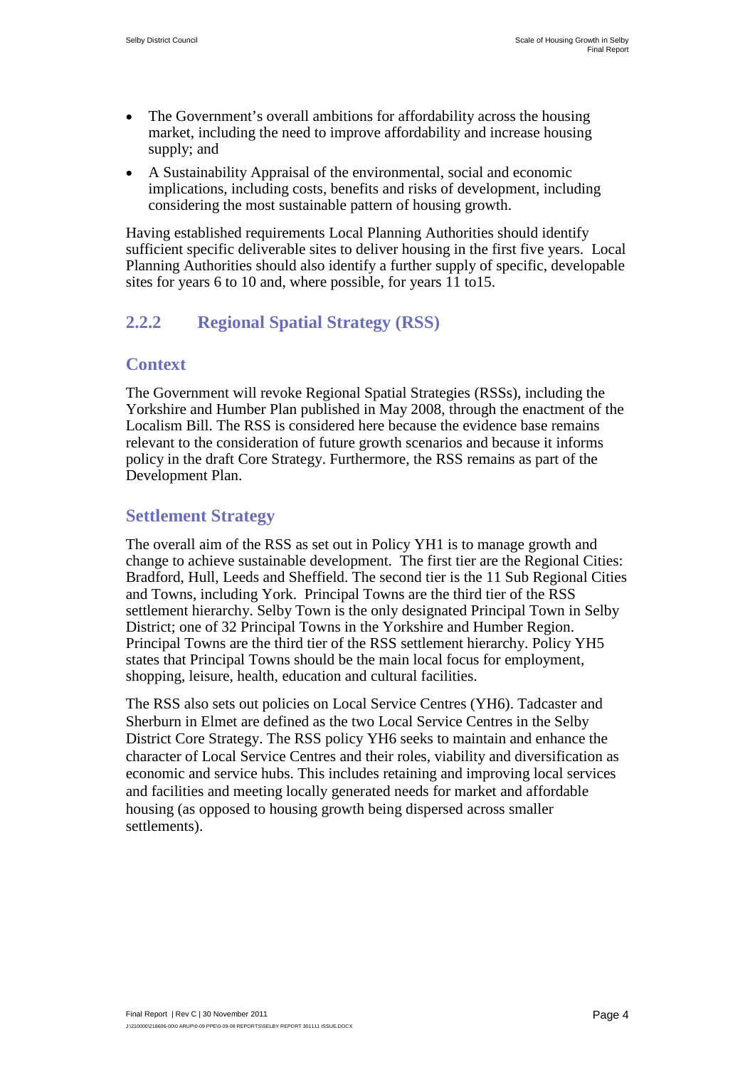- The Government's overall ambitions for affordability across the housing market, including the need to improve affordability and increase housing supply; and
- A Sustainability Appraisal of the environmental, social and economic implications, including costs, benefits and risks of development, including considering the most sustainable pattern of housing growth.

Having established requirements Local Planning Authorities should identify sufficient specific deliverable sites to deliver housing in the first five years. Local Planning Authorities should also identify a further supply of specific, developable sites for years 6 to 10 and, where possible, for years 11 to15.

#### **2.2.2 Regional Spatial Strategy (RSS)**

#### **Context**

The Government will revoke Regional Spatial Strategies (RSSs), including the Yorkshire and Humber Plan published in May 2008, through the enactment of the Localism Bill. The RSS is considered here because the evidence base remains relevant to the consideration of future growth scenarios and because it informs policy in the draft Core Strategy. Furthermore, the RSS remains as part of the Development Plan.

#### **Settlement Strategy**

The overall aim of the RSS as set out in Policy YH1 is to manage growth and change to achieve sustainable development. The first tier are the Regional Cities: Bradford, Hull, Leeds and Sheffield. The second tier is the 11 Sub Regional Cities and Towns, including York. Principal Towns are the third tier of the RSS settlement hierarchy. Selby Town is the only designated Principal Town in Selby District; one of 32 Principal Towns in the Yorkshire and Humber Region. Principal Towns are the third tier of the RSS settlement hierarchy. Policy YH5 states that Principal Towns should be the main local focus for employment, shopping, leisure, health, education and cultural facilities.

The RSS also sets out policies on Local Service Centres (YH6). Tadcaster and Sherburn in Elmet are defined as the two Local Service Centres in the Selby District Core Strategy. The RSS policy YH6 seeks to maintain and enhance the character of Local Service Centres and their roles, viability and diversification as economic and service hubs. This includes retaining and improving local services and facilities and meeting locally generated needs for market and affordable housing (as opposed to housing growth being dispersed across smaller settlements).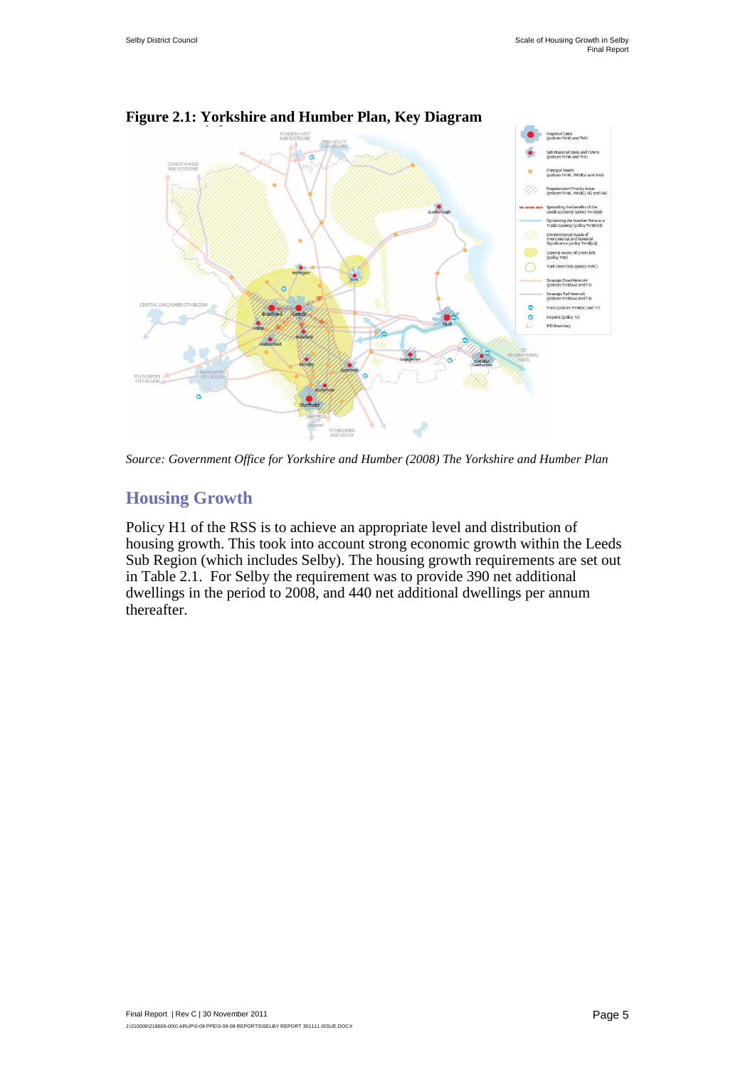

**Figure 2.1: Yorkshire and Humber Plan, Key Diagram**

*Source: Government Office for Yorkshire and Humber (2008) The Yorkshire and Humber Plan* 

#### **Housing Growth**

Policy H1 of the RSS is to achieve an appropriate level and distribution of housing growth. This took into account strong economic growth within the Leeds Sub Region (which includes Selby). The housing growth requirements are set out in Table 2.1. For Selby the requirement was to provide 390 net additional dwellings in the period to 2008, and 440 net additional dwellings per annum thereafter.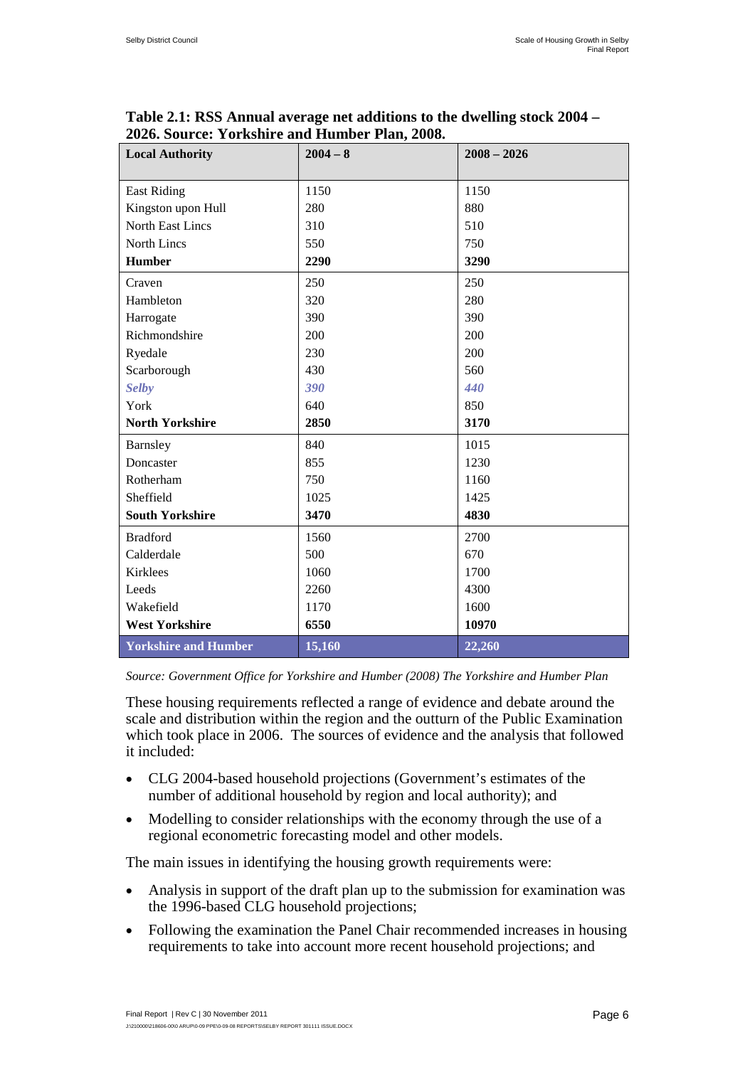| <b>Local Authority</b>      | $2004 - 8$ | $2008 - 2026$ |
|-----------------------------|------------|---------------|
| <b>East Riding</b>          | 1150       | 1150          |
| Kingston upon Hull          | 280        | 880           |
| <b>North East Lincs</b>     | 310        | 510           |
| North Lincs                 | 550        | 750           |
| <b>Humber</b>               | 2290       | 3290          |
| Craven                      | 250        | 250           |
| Hambleton                   | 320        | 280           |
| Harrogate                   | 390        | 390           |
| Richmondshire               | 200        | 200           |
| Ryedale                     | 230        | 200           |
| Scarborough                 | 430        | 560           |
| <b>Selby</b>                | 390        | 440           |
| York                        | 640        | 850           |
| <b>North Yorkshire</b>      | 2850       | 3170          |
| Barnsley                    | 840        | 1015          |
| Doncaster                   | 855        | 1230          |
| Rotherham                   | 750        | 1160          |
| Sheffield                   | 1025       | 1425          |
| <b>South Yorkshire</b>      | 3470       | 4830          |
| <b>Bradford</b>             | 1560       | 2700          |
| Calderdale                  | 500        | 670           |
| <b>Kirklees</b>             | 1060       | 1700          |
| Leeds                       | 2260       | 4300          |
| Wakefield                   | 1170       | 1600          |
| <b>West Yorkshire</b>       | 6550       | 10970         |
| <b>Yorkshire and Humber</b> | 15,160     | 22,260        |

**Table 2.1: RSS Annual average net additions to the dwelling stock 2004 – 2026. Source: Yorkshire and Humber Plan, 2008.**

*Source: Government Office for Yorkshire and Humber (2008) The Yorkshire and Humber Plan* 

These housing requirements reflected a range of evidence and debate around the scale and distribution within the region and the outturn of the Public Examination which took place in 2006. The sources of evidence and the analysis that followed it included:

- CLG 2004-based household projections (Government's estimates of the number of additional household by region and local authority); and
- Modelling to consider relationships with the economy through the use of a regional econometric forecasting model and other models.

The main issues in identifying the housing growth requirements were:

- Analysis in support of the draft plan up to the submission for examination was the 1996-based CLG household projections;
- Following the examination the Panel Chair recommended increases in housing requirements to take into account more recent household projections; and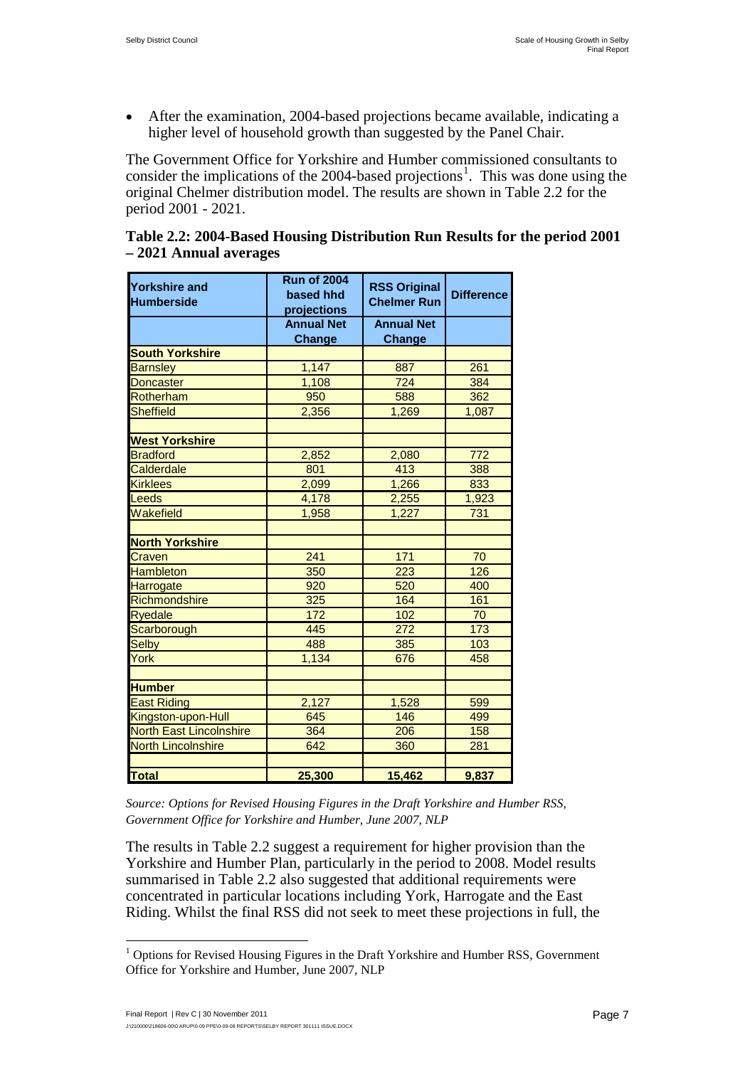• After the examination, 2004-based projections became available, indicating a higher level of household growth than suggested by the Panel Chair.

The Government Office for Yorkshire and Humber commissioned consultants to consider the implications of the 2004-based projections<sup>[1](#page-0-0)</sup>. This was done using the original Chelmer distribution model. The results are shown in Table 2.2 for the period 2001 - 2021.

| Table 2.2: 2004-Based Housing Distribution Run Results for the period 2001 |  |  |
|----------------------------------------------------------------------------|--|--|
| - 2021 Annual averages                                                     |  |  |

| Yorkshire and<br><b>Humberside</b> | <b>Run of 2004</b><br>based hhd<br>projections | <b>RSS Original</b><br><b>Chelmer Run</b> | <b>Difference</b> |  |
|------------------------------------|------------------------------------------------|-------------------------------------------|-------------------|--|
|                                    | <b>Annual Net</b>                              | <b>Annual Net</b>                         |                   |  |
|                                    | <b>Change</b>                                  | Change                                    |                   |  |
| <b>South Yorkshire</b>             |                                                |                                           |                   |  |
| <b>Barnsley</b>                    | 1,147                                          | 887                                       | 261               |  |
| Doncaster                          | 1,108                                          | 724                                       | 384               |  |
| Rotherham                          | 950                                            | 588                                       | 362               |  |
| <b>Sheffield</b>                   | 2,356                                          | 1,269                                     | 1,087             |  |
| <b>West Yorkshire</b>              |                                                |                                           |                   |  |
| <b>Bradford</b>                    | 2,852                                          | 2,080                                     | 772               |  |
| Calderdale                         | 801                                            | 413                                       | 388               |  |
| <b>Kirklees</b>                    | 2,099                                          | 1,266                                     | 833               |  |
| Leeds                              | 4,178                                          | 2,255                                     | 1,923             |  |
| Wakefield                          | 1,958                                          | 1,227                                     | 731               |  |
|                                    |                                                |                                           |                   |  |
| <b>North Yorkshire</b>             |                                                |                                           |                   |  |
| Craven                             | 241                                            | 171                                       | 70                |  |
| <b>Hambleton</b>                   | 350                                            | $\overline{223}$                          | 126               |  |
| Harrogate                          | 920                                            | 520                                       | 400               |  |
| Richmondshire                      | 325                                            | 164                                       | 161               |  |
| <b>Ryedale</b>                     | 172                                            | 102                                       | 70                |  |
| Scarborough                        | 445                                            | 272                                       | 173               |  |
| <b>Selby</b>                       | 488                                            | 385                                       | 103               |  |
| York                               | 1,134                                          | 676                                       | 458               |  |
| <b>Humber</b>                      |                                                |                                           |                   |  |
| <b>East Riding</b>                 | 2,127                                          | 1,528                                     | 599               |  |
| Kingston-upon-Hull                 | 645                                            | 146                                       | 499               |  |
| <b>North East Lincolnshire</b>     | 364                                            | 206                                       | 158               |  |
| <b>North Lincolnshire</b>          | 642                                            | 360                                       | 281               |  |
|                                    |                                                |                                           |                   |  |
| <b>Total</b>                       | 25,300                                         | 15,462                                    | 9,837             |  |

*Source: Options for Revised Housing Figures in the Draft Yorkshire and Humber RSS, Government Office for Yorkshire and Humber, June 2007, NLP*

The results in Table 2.2 suggest a requirement for higher provision than the Yorkshire and Humber Plan, particularly in the period to 2008. Model results summarised in Table 2.2 also suggested that additional requirements were concentrated in particular locations including York, Harrogate and the East Riding. Whilst the final RSS did not seek to meet these projections in full, the

<span id="page-17-0"></span><sup>&</sup>lt;sup>1</sup> Options for Revised Housing Figures in the Draft Yorkshire and Humber RSS, Government Office for Yorkshire and Humber, June 2007, NLP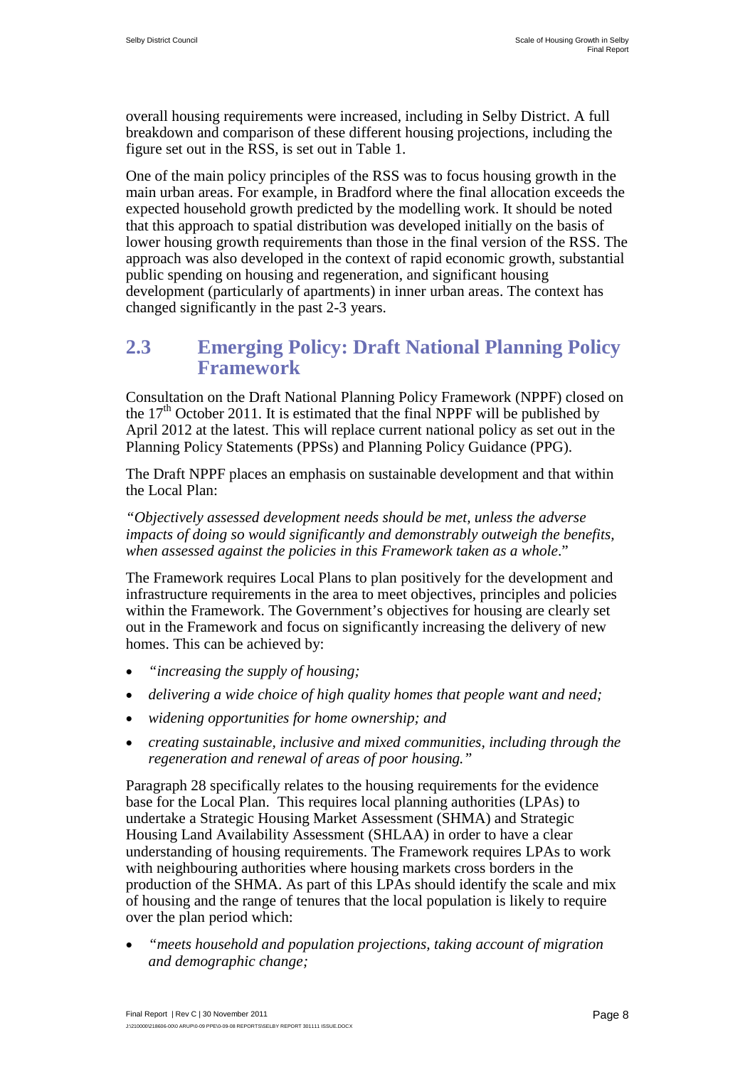overall housing requirements were increased, including in Selby District. A full breakdown and comparison of these different housing projections, including the figure set out in the RSS, is set out in Table 1.

One of the main policy principles of the RSS was to focus housing growth in the main urban areas. For example, in Bradford where the final allocation exceeds the expected household growth predicted by the modelling work. It should be noted that this approach to spatial distribution was developed initially on the basis of lower housing growth requirements than those in the final version of the RSS. The approach was also developed in the context of rapid economic growth, substantial public spending on housing and regeneration, and significant housing development (particularly of apartments) in inner urban areas. The context has changed significantly in the past 2-3 years.

#### <span id="page-18-0"></span>**2.3 Emerging Policy: Draft National Planning Policy Framework**

Consultation on the Draft National Planning Policy Framework (NPPF) closed on the  $17<sup>th</sup>$  October 2011. It is estimated that the final NPPF will be published by April 2012 at the latest. This will replace current national policy as set out in the Planning Policy Statements (PPSs) and Planning Policy Guidance (PPG).

The Draft NPPF places an emphasis on sustainable development and that within the Local Plan:

*"Objectively assessed development needs should be met, unless the adverse impacts of doing so would significantly and demonstrably outweigh the benefits, when assessed against the policies in this Framework taken as a whole*."

The Framework requires Local Plans to plan positively for the development and infrastructure requirements in the area to meet objectives, principles and policies within the Framework. The Government's objectives for housing are clearly set out in the Framework and focus on significantly increasing the delivery of new homes. This can be achieved by:

- *"increasing the supply of housing;*
- *delivering a wide choice of high quality homes that people want and need;*
- *widening opportunities for home ownership; and*
- *creating sustainable, inclusive and mixed communities, including through the regeneration and renewal of areas of poor housing."*

Paragraph 28 specifically relates to the housing requirements for the evidence base for the Local Plan. This requires local planning authorities (LPAs) to undertake a Strategic Housing Market Assessment (SHMA) and Strategic Housing Land Availability Assessment (SHLAA) in order to have a clear understanding of housing requirements. The Framework requires LPAs to work with neighbouring authorities where housing markets cross borders in the production of the SHMA. As part of this LPAs should identify the scale and mix of housing and the range of tenures that the local population is likely to require over the plan period which:

• *"meets household and population projections, taking account of migration and demographic change;*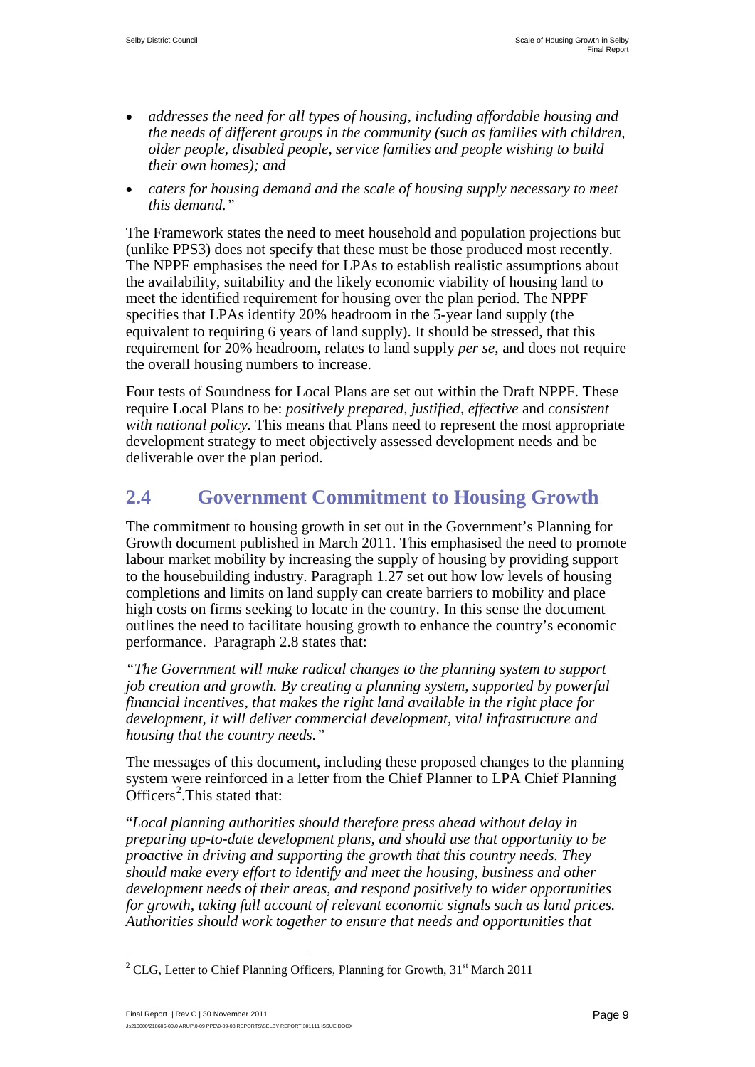- *addresses the need for all types of housing, including affordable housing and the needs of different groups in the community (such as families with children, older people, disabled people, service families and people wishing to build their own homes); and*
- *caters for housing demand and the scale of housing supply necessary to meet this demand."*

The Framework states the need to meet household and population projections but (unlike PPS3) does not specify that these must be those produced most recently. The NPPF emphasises the need for LPAs to establish realistic assumptions about the availability, suitability and the likely economic viability of housing land to meet the identified requirement for housing over the plan period. The NPPF specifies that LPAs identify 20% headroom in the 5-year land supply (the equivalent to requiring 6 years of land supply). It should be stressed, that this requirement for 20% headroom, relates to land supply *per se*, and does not require the overall housing numbers to increase.

Four tests of Soundness for Local Plans are set out within the Draft NPPF. These require Local Plans to be: *positively prepared, justified, effective* and *consistent with national policy.* This means that Plans need to represent the most appropriate development strategy to meet objectively assessed development needs and be deliverable over the plan period.

## <span id="page-19-0"></span>**2.4 Government Commitment to Housing Growth**

The commitment to housing growth in set out in the Government's Planning for Growth document published in March 2011. This emphasised the need to promote labour market mobility by increasing the supply of housing by providing support to the housebuilding industry. Paragraph 1.27 set out how low levels of housing completions and limits on land supply can create barriers to mobility and place high costs on firms seeking to locate in the country. In this sense the document outlines the need to facilitate housing growth to enhance the country's economic performance. Paragraph 2.8 states that:

*"The Government will make radical changes to the planning system to support job creation and growth. By creating a planning system, supported by powerful financial incentives, that makes the right land available in the right place for development, it will deliver commercial development, vital infrastructure and housing that the country needs."*

The messages of this document, including these proposed changes to the planning system were reinforced in a letter from the Chief Planner to LPA Chief Planning  $Officers<sup>2</sup>$  $Officers<sup>2</sup>$  $Officers<sup>2</sup>$ . This stated that:

"*Local planning authorities should therefore press ahead without delay in preparing up-to-date development plans, and should use that opportunity to be proactive in driving and supporting the growth that this country needs. They should make every effort to identify and meet the housing, business and other development needs of their areas, and respond positively to wider opportunities for growth, taking full account of relevant economic signals such as land prices. Authorities should work together to ensure that needs and opportunities that* 

<span id="page-19-1"></span><sup>&</sup>lt;sup>2</sup> CLG, Letter to Chief Planning Officers, Planning for Growth,  $31<sup>st</sup>$  March 2011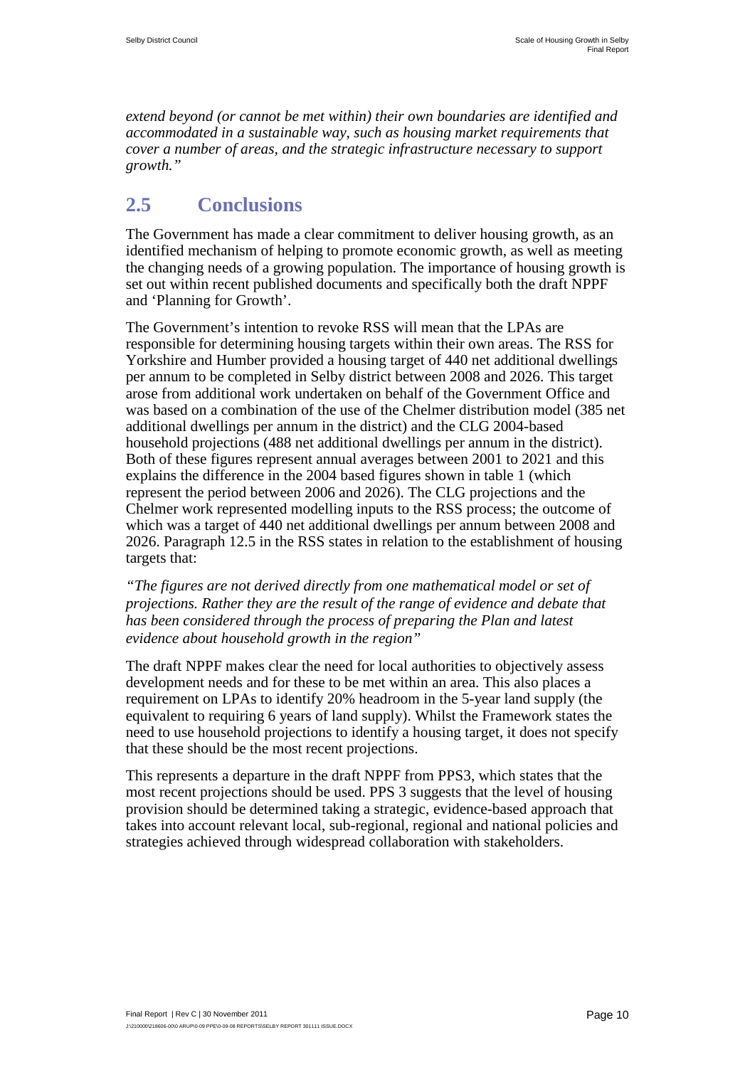*extend beyond (or cannot be met within) their own boundaries are identified and accommodated in a sustainable way, such as housing market requirements that cover a number of areas, and the strategic infrastructure necessary to support growth."*

## <span id="page-20-0"></span>**2.5 Conclusions**

The Government has made a clear commitment to deliver housing growth, as an identified mechanism of helping to promote economic growth, as well as meeting the changing needs of a growing population. The importance of housing growth is set out within recent published documents and specifically both the draft NPPF and 'Planning for Growth'.

The Government's intention to revoke RSS will mean that the LPAs are responsible for determining housing targets within their own areas. The RSS for Yorkshire and Humber provided a housing target of 440 net additional dwellings per annum to be completed in Selby district between 2008 and 2026. This target arose from additional work undertaken on behalf of the Government Office and was based on a combination of the use of the Chelmer distribution model (385 net additional dwellings per annum in the district) and the CLG 2004-based household projections (488 net additional dwellings per annum in the district). Both of these figures represent annual averages between 2001 to 2021 and this explains the difference in the 2004 based figures shown in table 1 (which represent the period between 2006 and 2026). The CLG projections and the Chelmer work represented modelling inputs to the RSS process; the outcome of which was a target of 440 net additional dwellings per annum between 2008 and 2026. Paragraph 12.5 in the RSS states in relation to the establishment of housing targets that:

*"The figures are not derived directly from one mathematical model or set of projections. Rather they are the result of the range of evidence and debate that has been considered through the process of preparing the Plan and latest evidence about household growth in the region"*

The draft NPPF makes clear the need for local authorities to objectively assess development needs and for these to be met within an area. This also places a requirement on LPAs to identify 20% headroom in the 5-year land supply (the equivalent to requiring 6 years of land supply). Whilst the Framework states the need to use household projections to identify a housing target, it does not specify that these should be the most recent projections.

This represents a departure in the draft NPPF from PPS3, which states that the most recent projections should be used. PPS 3 suggests that the level of housing provision should be determined taking a strategic, evidence-based approach that takes into account relevant local, sub-regional, regional and national policies and strategies achieved through widespread collaboration with stakeholders.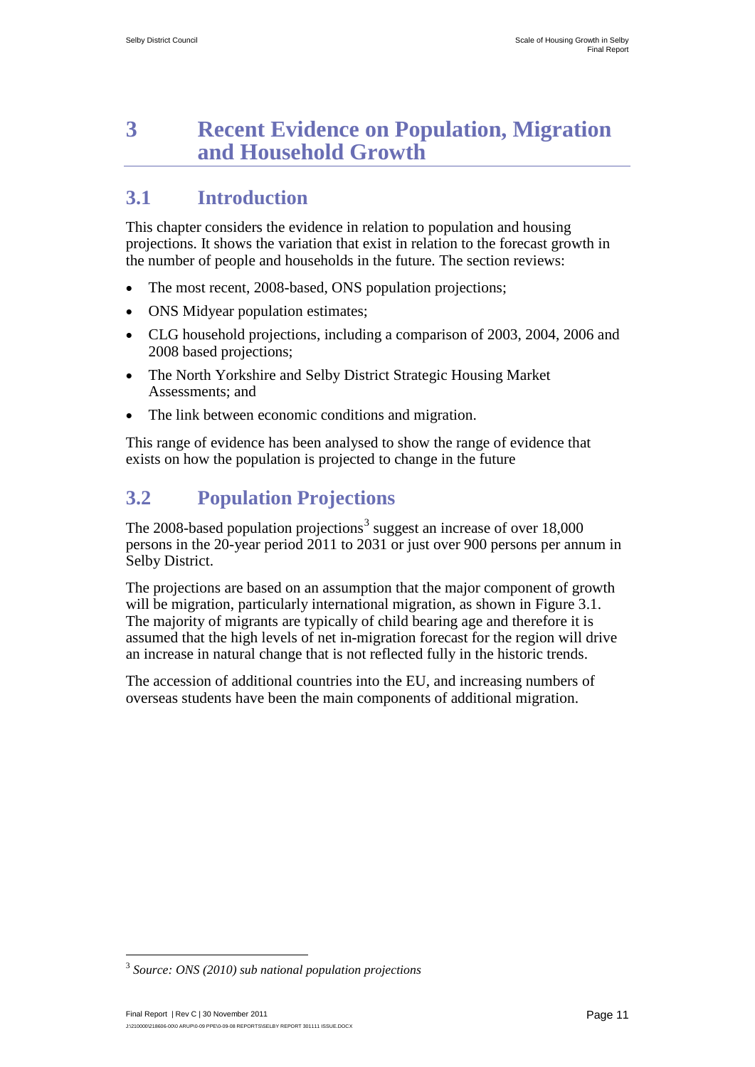## <span id="page-21-0"></span>**3 Recent Evidence on Population, Migration and Household Growth**

## <span id="page-21-1"></span>**3.1 Introduction**

This chapter considers the evidence in relation to population and housing projections. It shows the variation that exist in relation to the forecast growth in the number of people and households in the future. The section reviews:

- The most recent, 2008-based, ONS population projections;
- ONS Midyear population estimates;
- CLG household projections, including a comparison of 2003, 2004, 2006 and 2008 based projections;
- The North Yorkshire and Selby District Strategic Housing Market Assessments; and
- The link between economic conditions and migration.

This range of evidence has been analysed to show the range of evidence that exists on how the population is projected to change in the future

## <span id="page-21-2"></span>**3.2 Population Projections**

The 2008-based population projections<sup>[3](#page-19-1)</sup> suggest an increase of over  $18,000$ persons in the 20-year period 2011 to 2031 or just over 900 persons per annum in Selby District.

The projections are based on an assumption that the major component of growth will be migration, particularly international migration, as shown in Figure 3.1. The majority of migrants are typically of child bearing age and therefore it is assumed that the high levels of net in-migration forecast for the region will drive an increase in natural change that is not reflected fully in the historic trends.

The accession of additional countries into the EU, and increasing numbers of overseas students have been the main components of additional migration.

<span id="page-21-3"></span> <sup>3</sup> *Source: ONS (2010) sub national population projections*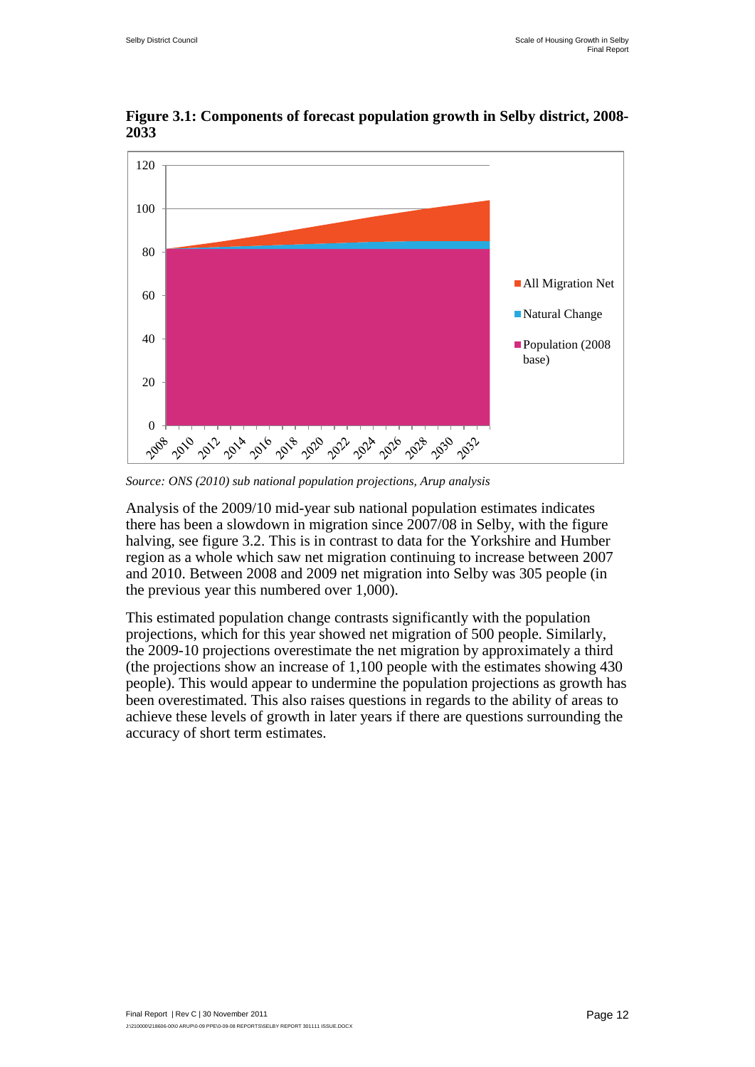

**Figure 3.1: Components of forecast population growth in Selby district, 2008- 2033** 

*Source: ONS (2010) sub national population projections, Arup analysis*

Analysis of the 2009/10 mid-year sub national population estimates indicates there has been a slowdown in migration since 2007/08 in Selby, with the figure halving, see figure 3.2. This is in contrast to data for the Yorkshire and Humber region as a whole which saw net migration continuing to increase between 2007 and 2010. Between 2008 and 2009 net migration into Selby was 305 people (in the previous year this numbered over 1,000).

This estimated population change contrasts significantly with the population projections, which for this year showed net migration of 500 people. Similarly, the 2009-10 projections overestimate the net migration by approximately a third (the projections show an increase of 1,100 people with the estimates showing 430 people). This would appear to undermine the population projections as growth has been overestimated. This also raises questions in regards to the ability of areas to achieve these levels of growth in later years if there are questions surrounding the accuracy of short term estimates.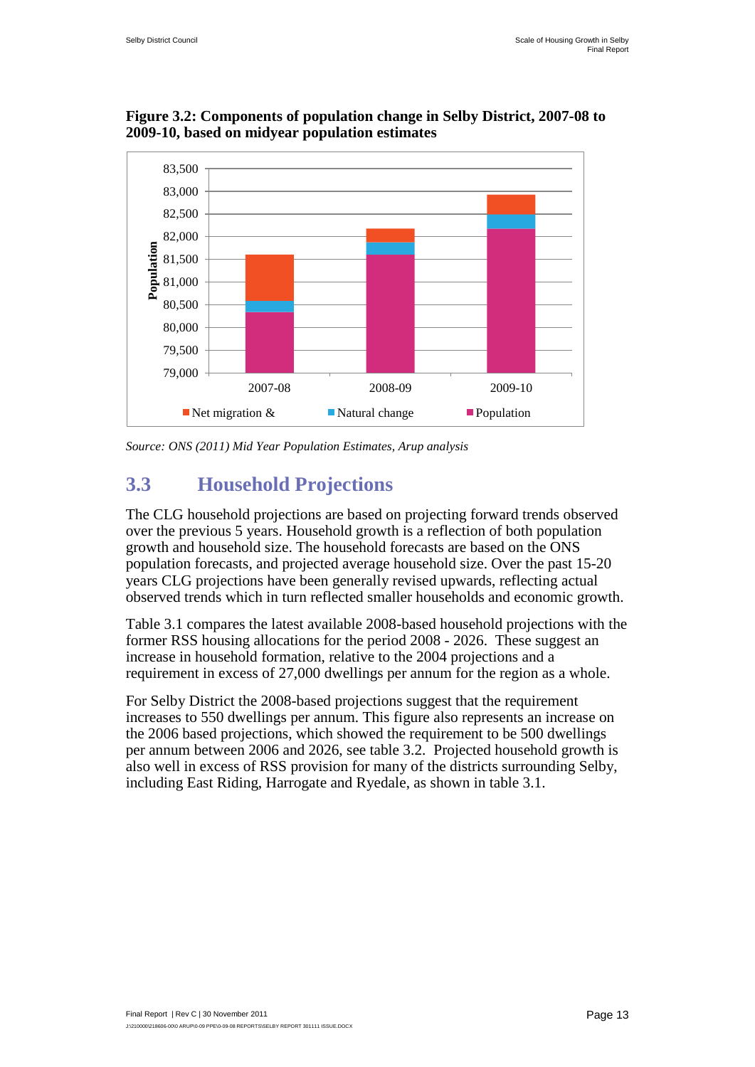

**Figure 3.2: Components of population change in Selby District, 2007-08 to 2009-10, based on midyear population estimates** 

*Source: ONS (2011) Mid Year Population Estimates, Arup analysis* 

## <span id="page-23-0"></span>**3.3 Household Projections**

The CLG household projections are based on projecting forward trends observed over the previous 5 years. Household growth is a reflection of both population growth and household size. The household forecasts are based on the ONS population forecasts, and projected average household size. Over the past 15-20 years CLG projections have been generally revised upwards, reflecting actual observed trends which in turn reflected smaller households and economic growth.

Table 3.1 compares the latest available 2008-based household projections with the former RSS housing allocations for the period 2008 - 2026. These suggest an increase in household formation, relative to the 2004 projections and a requirement in excess of 27,000 dwellings per annum for the region as a whole.

For Selby District the 2008-based projections suggest that the requirement increases to 550 dwellings per annum. This figure also represents an increase on the 2006 based projections, which showed the requirement to be 500 dwellings per annum between 2006 and 2026, see table 3.2. Projected household growth is also well in excess of RSS provision for many of the districts surrounding Selby, including East Riding, Harrogate and Ryedale, as shown in table 3.1.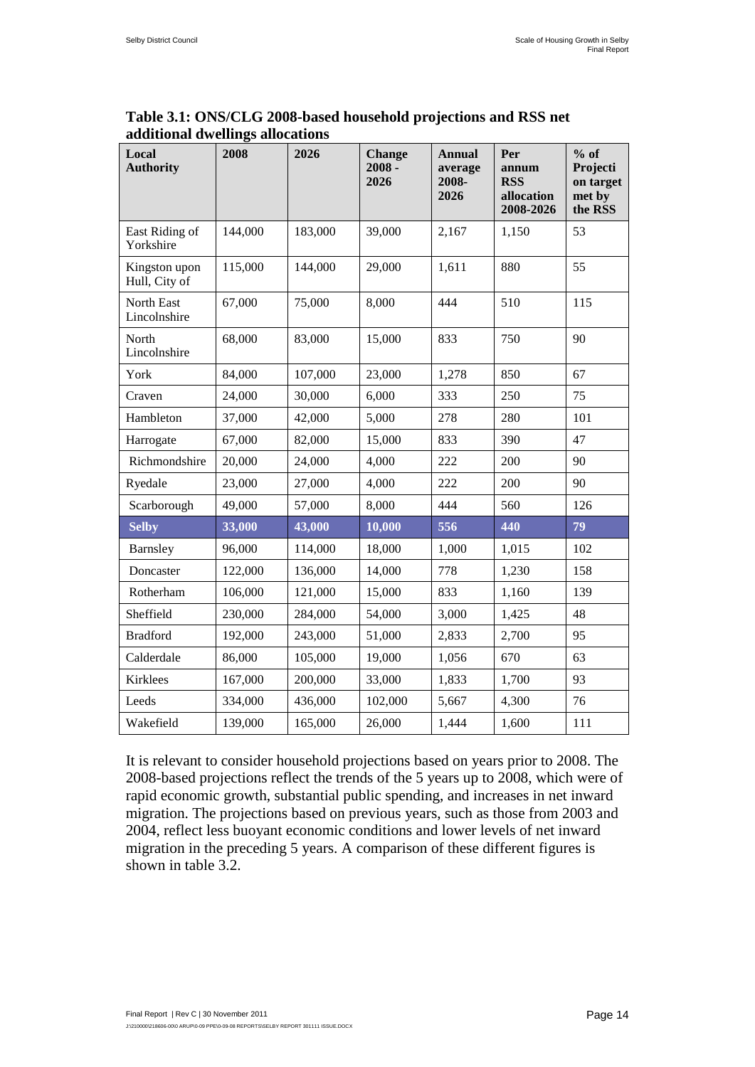| Local<br><b>Authority</b>      | 2008    | 2026    | <b>Change</b><br>$2008 -$<br>2026 | <b>Annual</b><br>average<br>2008-<br>2026 | Per<br>annum<br><b>RSS</b><br>allocation<br>2008-2026 | $%$ of<br>Projecti<br>on target<br>met by<br>the RSS |
|--------------------------------|---------|---------|-----------------------------------|-------------------------------------------|-------------------------------------------------------|------------------------------------------------------|
| East Riding of<br>Yorkshire    | 144,000 | 183,000 | 39,000                            | 2,167                                     | 1,150                                                 | 53                                                   |
| Kingston upon<br>Hull, City of | 115,000 | 144,000 | 29,000                            | 1,611                                     | 880                                                   | 55                                                   |
| North East<br>Lincolnshire     | 67,000  | 75,000  | 8,000                             | 444                                       | 510                                                   | 115                                                  |
| North<br>Lincolnshire          | 68,000  | 83,000  | 15,000                            | 833                                       | 750                                                   | 90                                                   |
| York                           | 84,000  | 107,000 | 23,000                            | 1,278                                     | 850                                                   | 67                                                   |
| Craven                         | 24,000  | 30,000  | 6,000                             | 333                                       | 250                                                   | 75                                                   |
| Hambleton                      | 37,000  | 42,000  | 5,000                             | 278                                       | 280                                                   | 101                                                  |
| Harrogate                      | 67,000  | 82,000  | 15,000                            | 833                                       | 390                                                   | 47                                                   |
| Richmondshire                  | 20,000  | 24,000  | 4,000                             | 222                                       | 200                                                   | 90                                                   |
| Ryedale                        | 23,000  | 27,000  | 4,000                             | 222                                       | 200                                                   | 90                                                   |
| Scarborough                    | 49,000  | 57,000  | 8,000                             | 444                                       | 560                                                   | 126                                                  |
| <b>Selby</b>                   | 33,000  | 43,000  | 10,000                            | 556                                       | 440                                                   | 79                                                   |
| Barnsley                       | 96,000  | 114,000 | 18,000                            | 1,000                                     | 1,015                                                 | 102                                                  |
| Doncaster                      | 122,000 | 136,000 | 14,000                            | 778                                       | 1,230                                                 | 158                                                  |
| Rotherham                      | 106,000 | 121,000 | 15,000                            | 833                                       | 1,160                                                 | 139                                                  |
| Sheffield                      | 230,000 | 284,000 | 54,000                            | 3,000                                     | 1,425                                                 | 48                                                   |
| <b>Bradford</b>                | 192,000 | 243,000 | 51,000                            | 2,833                                     | 2,700                                                 | 95                                                   |
| Calderdale                     | 86,000  | 105,000 | 19,000                            | 1,056                                     | 670                                                   | 63                                                   |
| Kirklees                       | 167,000 | 200,000 | 33,000                            | 1,833                                     | 1,700                                                 | 93                                                   |
| Leeds                          | 334,000 | 436,000 | 102,000                           | 5,667                                     | 4,300                                                 | 76                                                   |
| Wakefield                      | 139,000 | 165,000 | 26,000                            | 1,444                                     | 1,600                                                 | 111                                                  |

#### **Table 3.1: ONS/CLG 2008-based household projections and RSS net additional dwellings allocations**

It is relevant to consider household projections based on years prior to 2008. The 2008-based projections reflect the trends of the 5 years up to 2008, which were of rapid economic growth, substantial public spending, and increases in net inward migration. The projections based on previous years, such as those from 2003 and 2004, reflect less buoyant economic conditions and lower levels of net inward migration in the preceding 5 years. A comparison of these different figures is shown in table 3.2.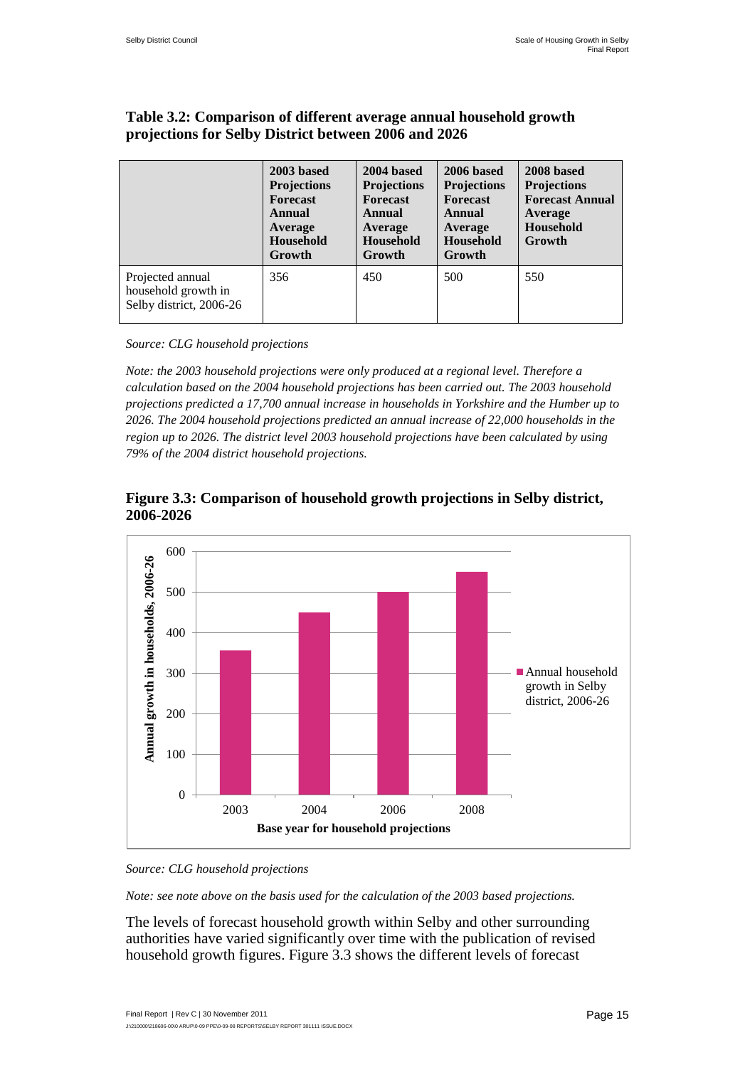|                                                                    | 2003 based<br><b>Projections</b><br><b>Forecast</b><br>Annual<br>Average<br><b>Household</b><br>Growth | 2004 based<br><b>Projections</b><br><b>Forecast</b><br><b>Annual</b><br>Average<br>Household<br>Growth | 2006 based<br><b>Projections</b><br><b>Forecast</b><br><b>Annual</b><br>Average<br>Household<br>Growth | 2008 based<br><b>Projections</b><br><b>Forecast Annual</b><br>Average<br>Household<br>Growth |
|--------------------------------------------------------------------|--------------------------------------------------------------------------------------------------------|--------------------------------------------------------------------------------------------------------|--------------------------------------------------------------------------------------------------------|----------------------------------------------------------------------------------------------|
| Projected annual<br>household growth in<br>Selby district, 2006-26 | 356                                                                                                    | 450                                                                                                    | 500                                                                                                    | 550                                                                                          |

#### **Table 3.2: Comparison of different average annual household growth projections for Selby District between 2006 and 2026**

*Source: CLG household projections*

*Note: the 2003 household projections were only produced at a regional level. Therefore a calculation based on the 2004 household projections has been carried out. The 2003 household projections predicted a 17,700 annual increase in households in Yorkshire and the Humber up to 2026. The 2004 household projections predicted an annual increase of 22,000 households in the region up to 2026. The district level 2003 household projections have been calculated by using 79% of the 2004 district household projections.*



**Figure 3.3: Comparison of household growth projections in Selby district, 2006-2026**

#### *Source: CLG household projections*

0

100

*Note: see note above on the basis used for the calculation of the 2003 based projections.* 

2003 2004 2006 2008

**Base year for household projections** 

The levels of forecast household growth within Selby and other surrounding authorities have varied significantly over time with the publication of revised household growth figures. Figure 3.3 shows the different levels of forecast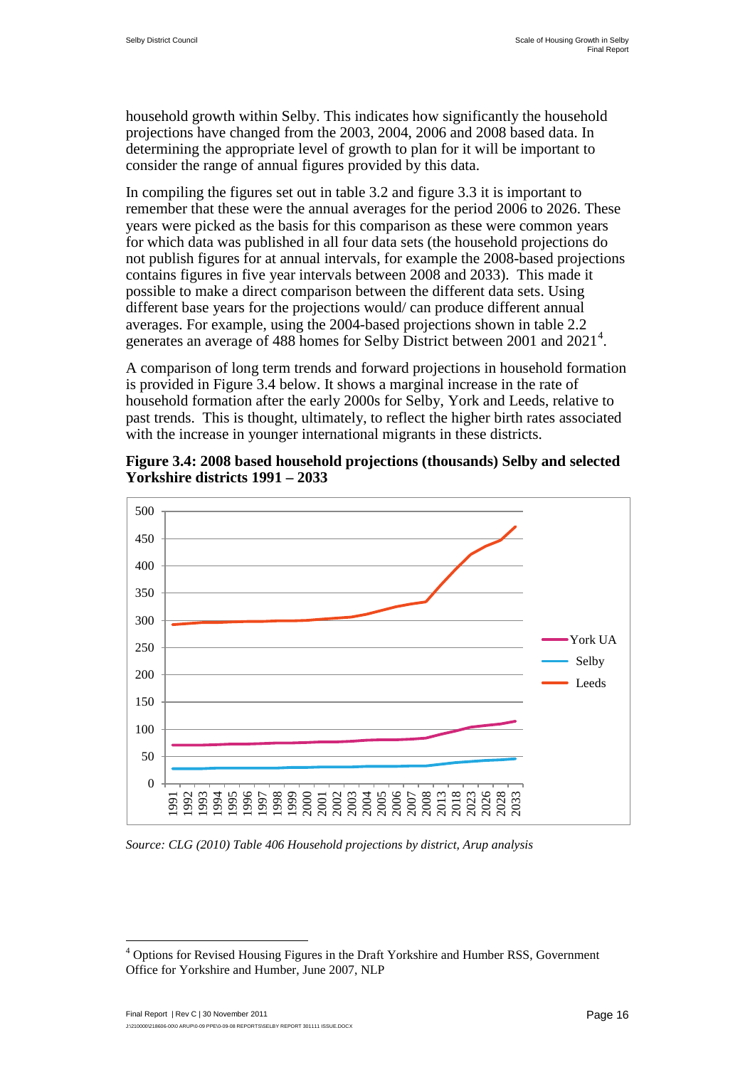household growth within Selby. This indicates how significantly the household projections have changed from the 2003, 2004, 2006 and 2008 based data. In determining the appropriate level of growth to plan for it will be important to consider the range of annual figures provided by this data.

In compiling the figures set out in table 3.2 and figure 3.3 it is important to remember that these were the annual averages for the period 2006 to 2026. These years were picked as the basis for this comparison as these were common years for which data was published in all four data sets (the household projections do not publish figures for at annual intervals, for example the 2008-based projections contains figures in five year intervals between 2008 and 2033). This made it possible to make a direct comparison between the different data sets. Using different base years for the projections would/ can produce different annual averages. For example, using the 2004-based projections shown in table 2.2 generates an average of [4](#page-21-3)88 homes for Selby District between 2001 and 2021<sup>4</sup>.

A comparison of long term trends and forward projections in household formation is provided in Figure 3.4 below. It shows a marginal increase in the rate of household formation after the early 2000s for Selby, York and Leeds, relative to past trends. This is thought, ultimately, to reflect the higher birth rates associated with the increase in younger international migrants in these districts.



**Figure 3.4: 2008 based household projections (thousands) Selby and selected Yorkshire districts 1991 – 2033**

*Source: CLG (2010) Table 406 Household projections by district, Arup analysis* 

<span id="page-26-0"></span><sup>&</sup>lt;sup>4</sup> Options for Revised Housing Figures in the Draft Yorkshire and Humber RSS, Government Office for Yorkshire and Humber, June 2007, NLP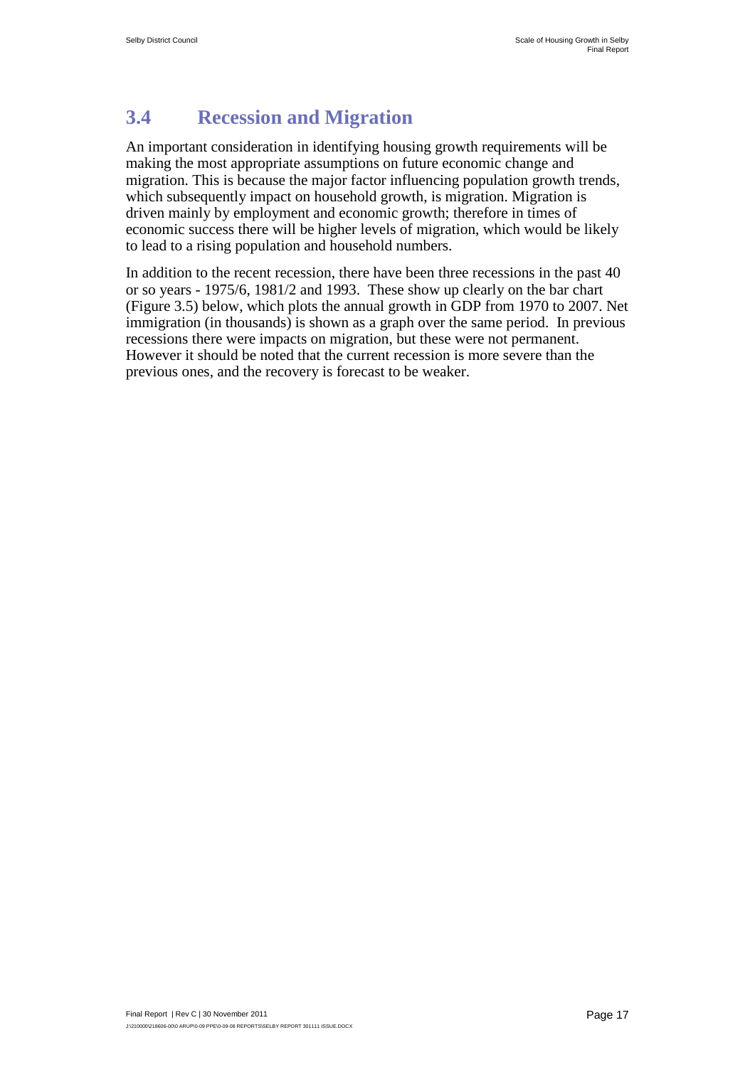## <span id="page-27-0"></span>**3.4 Recession and Migration**

An important consideration in identifying housing growth requirements will be making the most appropriate assumptions on future economic change and migration. This is because the major factor influencing population growth trends, which subsequently impact on household growth, is migration. Migration is driven mainly by employment and economic growth; therefore in times of economic success there will be higher levels of migration, which would be likely to lead to a rising population and household numbers.

In addition to the recent recession, there have been three recessions in the past 40 or so years - 1975/6, 1981/2 and 1993. These show up clearly on the bar chart (Figure 3.5) below, which plots the annual growth in GDP from 1970 to 2007. Net immigration (in thousands) is shown as a graph over the same period. In previous recessions there were impacts on migration, but these were not permanent. However it should be noted that the current recession is more severe than the previous ones, and the recovery is forecast to be weaker.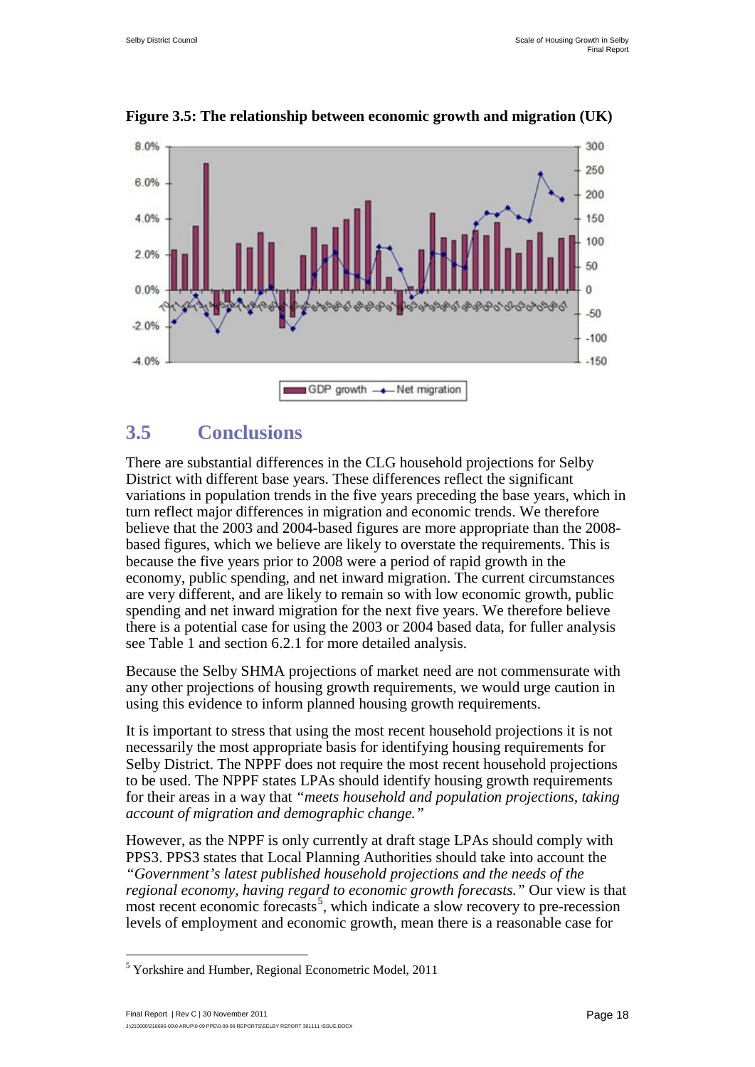

**Figure 3.5: The relationship between economic growth and migration (UK)**

## <span id="page-28-0"></span>**3.5 Conclusions**

There are substantial differences in the CLG household projections for Selby District with different base years. These differences reflect the significant variations in population trends in the five years preceding the base years, which in turn reflect major differences in migration and economic trends. We therefore believe that the 2003 and 2004-based figures are more appropriate than the 2008 based figures, which we believe are likely to overstate the requirements. This is because the five years prior to 2008 were a period of rapid growth in the economy, public spending, and net inward migration. The current circumstances are very different, and are likely to remain so with low economic growth, public spending and net inward migration for the next five years. We therefore believe there is a potential case for using the 2003 or 2004 based data, for fuller analysis see Table 1 and section [6.2.1](#page--1-3) for more detailed analysis.

Because the Selby SHMA projections of market need are not commensurate with any other projections of housing growth requirements, we would urge caution in using this evidence to inform planned housing growth requirements.

It is important to stress that using the most recent household projections it is not necessarily the most appropriate basis for identifying housing requirements for Selby District. The NPPF does not require the most recent household projections to be used. The NPPF states LPAs should identify housing growth requirements for their areas in a way that *"meets household and population projections, taking account of migration and demographic change."*

However, as the NPPF is only currently at draft stage LPAs should comply with PPS3. PPS3 states that Local Planning Authorities should take into account the *"Government's latest published household projections and the needs of the regional economy, having regard to economic growth forecasts."* Our view is that most recent economic forecasts<sup>[5](#page-26-0)</sup>, which indicate a slow recovery to pre-recession levels of employment and economic growth, mean there is a reasonable case for

<span id="page-28-1"></span> <sup>5</sup> Yorkshire and Humber, Regional Econometric Model, 2011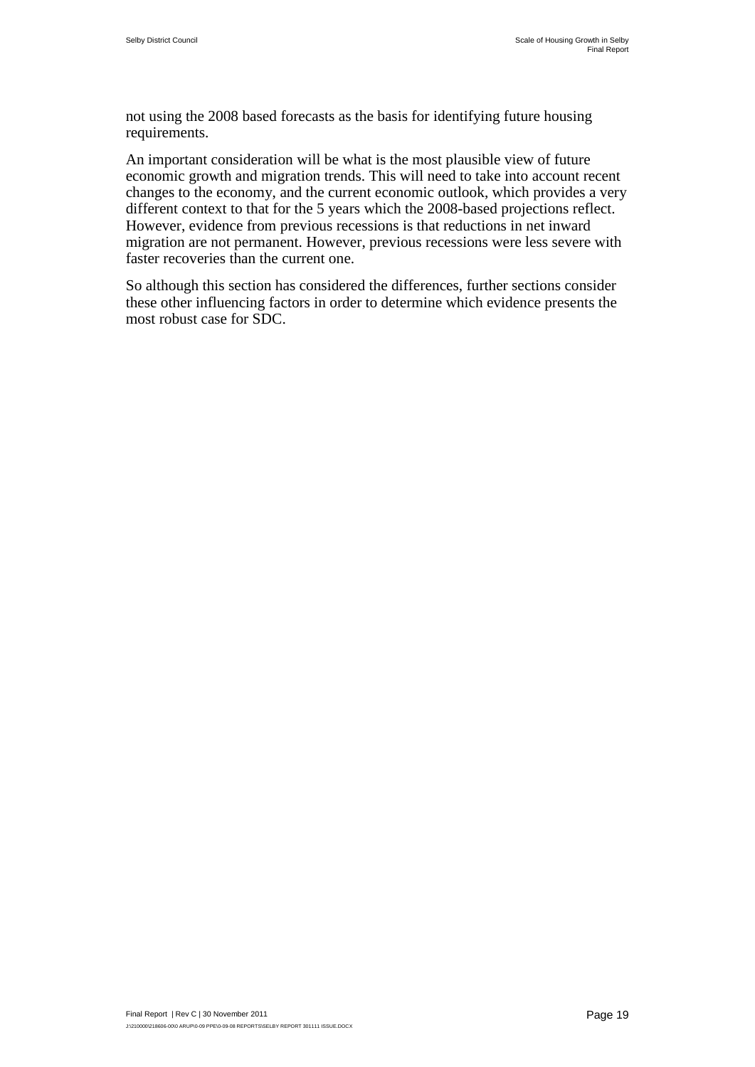not using the 2008 based forecasts as the basis for identifying future housing requirements.

An important consideration will be what is the most plausible view of future economic growth and migration trends. This will need to take into account recent changes to the economy, and the current economic outlook, which provides a very different context to that for the 5 years which the 2008-based projections reflect. However, evidence from previous recessions is that reductions in net inward migration are not permanent. However, previous recessions were less severe with faster recoveries than the current one.

So although this section has considered the differences, further sections consider these other influencing factors in order to determine which evidence presents the most robust case for SDC.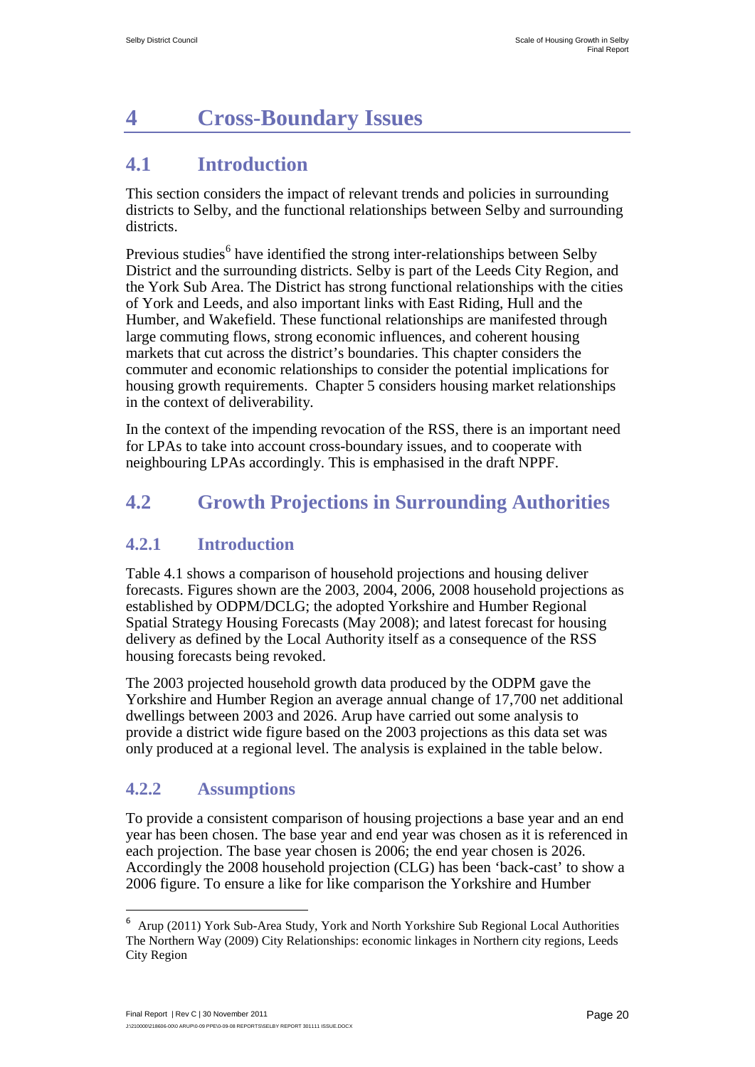# <span id="page-30-3"></span><span id="page-30-0"></span>**4 Cross-Boundary Issues**

## <span id="page-30-1"></span>**4.1 Introduction**

This section considers the impact of relevant trends and policies in surrounding districts to Selby, and the functional relationships between Selby and surrounding districts.

Previous studies<sup>[6](#page-28-1)</sup> have identified the strong inter-relationships between Selby District and the surrounding districts. Selby is part of the Leeds City Region, and the York Sub Area. The District has strong functional relationships with the cities of York and Leeds, and also important links with East Riding, Hull and the Humber, and Wakefield. These functional relationships are manifested through large commuting flows, strong economic influences, and coherent housing markets that cut across the district's boundaries. This chapter considers the commuter and economic relationships to consider the potential implications for housing growth requirements. Chapter 5 considers housing market relationships in the context of deliverability.

In the context of the impending revocation of the RSS, there is an important need for LPAs to take into account cross-boundary issues, and to cooperate with neighbouring LPAs accordingly. This is emphasised in the draft NPPF.

## <span id="page-30-2"></span>**4.2 Growth Projections in Surrounding Authorities**

#### **4.2.1 Introduction**

Table 4.1 shows a comparison of household projections and housing deliver forecasts. Figures shown are the 2003, 2004, 2006, 2008 household projections as established by ODPM/DCLG; the adopted Yorkshire and Humber Regional Spatial Strategy Housing Forecasts (May 2008); and latest forecast for housing delivery as defined by the Local Authority itself as a consequence of the RSS housing forecasts being revoked.

The 2003 projected household growth data produced by the ODPM gave the Yorkshire and Humber Region an average annual change of 17,700 net additional dwellings between 2003 and 2026. Arup have carried out some analysis to provide a district wide figure based on the 2003 projections as this data set was only produced at a regional level. The analysis is explained in the table below.

### **4.2.2 Assumptions**

To provide a consistent comparison of housing projections a base year and an end year has been chosen. The base year and end year was chosen as it is referenced in each projection. The base year chosen is 2006; the end year chosen is 2026. Accordingly the 2008 household projection (CLG) has been 'back-cast' to show a 2006 figure. To ensure a like for like comparison the Yorkshire and Humber

<sup>6</sup> Arup (2011) York Sub-Area Study, York and North Yorkshire Sub Regional Local Authorities The Northern Way (2009) City Relationships: economic linkages in Northern city regions, Leeds City Region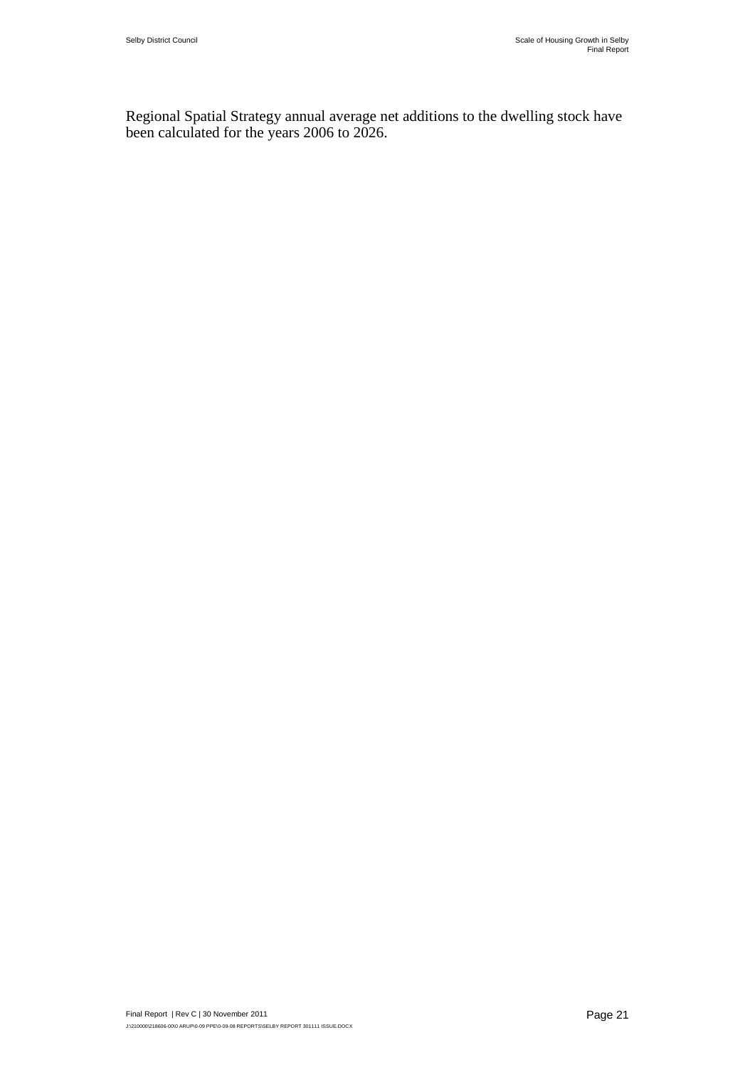Regional Spatial Strategy annual average net additions to the dwelling stock have been calculated for the years 2006 to 2026.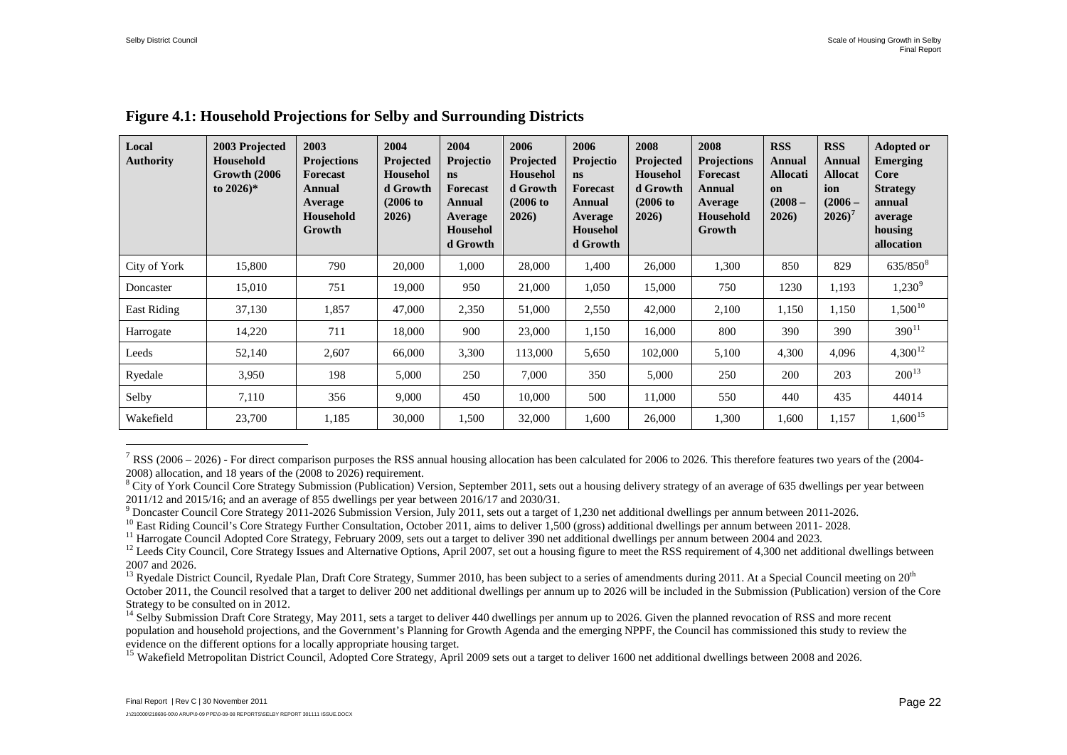| Local<br><b>Authority</b> | 2003 Projected<br>Household<br>Growth (2006)<br>to $2026$ <sup>*</sup> | 2003<br><b>Projections</b><br>Forecast<br>Annual<br>Average<br>Household<br>Growth | 2004<br>Projected<br><b>Househol</b><br>d Growth<br>$(2006 \text{ to }$<br>2026 | 2004<br>Projectio<br>ns<br>Forecast<br>Annual<br>Average<br><b>Househol</b><br>d Growth | 2006<br>Projected<br><b>Househol</b><br>d Growth<br>$(2006$ to<br>2026 | 2006<br>Projectio<br><b>ns</b><br><b>Forecast</b><br>Annual<br>Average<br>Househol<br>d Growth | 2008<br><b>Projected</b><br><b>Househol</b><br>d Growth<br>$(2006$ to<br>2026 | 2008<br><b>Projections</b><br>Forecast<br>Annual<br>Average<br>Household<br>Growth | <b>RSS</b><br>Annual<br><b>Allocati</b><br>on<br>$(2008 -$<br>2026) | <b>RSS</b><br>Annual<br>Allocat<br>ion<br>$(2006 -$<br>$2026$ <sup>7</sup> | <b>Adopted or</b><br><b>Emerging</b><br>Core<br><b>Strategy</b><br>annual<br>average<br>housing<br>allocation |
|---------------------------|------------------------------------------------------------------------|------------------------------------------------------------------------------------|---------------------------------------------------------------------------------|-----------------------------------------------------------------------------------------|------------------------------------------------------------------------|------------------------------------------------------------------------------------------------|-------------------------------------------------------------------------------|------------------------------------------------------------------------------------|---------------------------------------------------------------------|----------------------------------------------------------------------------|---------------------------------------------------------------------------------------------------------------|
| City of York              | 15,800                                                                 | 790                                                                                | 20,000                                                                          | 1,000                                                                                   | 28,000                                                                 | 1,400                                                                                          | 26,000                                                                        | 1,300                                                                              | 850                                                                 | 829                                                                        | $635/850^{8}$                                                                                                 |
| Doncaster                 | 15,010                                                                 | 751                                                                                | 19,000                                                                          | 950                                                                                     | 21,000                                                                 | 1,050                                                                                          | 15,000                                                                        | 750                                                                                | 1230                                                                | 1,193                                                                      | $1,230^9$                                                                                                     |
| East Riding               | 37,130                                                                 | 1,857                                                                              | 47,000                                                                          | 2,350                                                                                   | 51,000                                                                 | 2,550                                                                                          | 42,000                                                                        | 2,100                                                                              | 1,150                                                               | 1,150                                                                      | $1,500^{10}$                                                                                                  |
| Harrogate                 | 14,220                                                                 | 711                                                                                | 18,000                                                                          | 900                                                                                     | 23,000                                                                 | 1,150                                                                                          | 16,000                                                                        | 800                                                                                | 390                                                                 | 390                                                                        | $390^{11}$                                                                                                    |
| Leeds                     | 52,140                                                                 | 2,607                                                                              | 66,000                                                                          | 3,300                                                                                   | 113,000                                                                | 5,650                                                                                          | 102,000                                                                       | 5,100                                                                              | 4,300                                                               | 4,096                                                                      | $4,300^{12}$                                                                                                  |
| Ryedale                   | 3,950                                                                  | 198                                                                                | 5,000                                                                           | 250                                                                                     | 7,000                                                                  | 350                                                                                            | 5,000                                                                         | 250                                                                                | 200                                                                 | 203                                                                        | $200^{13}$                                                                                                    |
| Selby                     | 7,110                                                                  | 356                                                                                | 9,000                                                                           | 450                                                                                     | 10,000                                                                 | 500                                                                                            | 11,000                                                                        | 550                                                                                | 440                                                                 | 435                                                                        | 44014                                                                                                         |
| Wakefield                 | 23,700                                                                 | 1,185                                                                              | 30,000                                                                          | 1,500                                                                                   | 32,000                                                                 | 1,600                                                                                          | 26,000                                                                        | 1,300                                                                              | 1,600                                                               | 1,157                                                                      | $1,600^{15}$                                                                                                  |

#### <span id="page-32-7"></span><span id="page-32-6"></span><span id="page-32-5"></span><span id="page-32-4"></span><span id="page-32-3"></span><span id="page-32-2"></span><span id="page-32-1"></span><span id="page-32-0"></span>**Figure 4.1: Household Projections for Selby and Surrounding Districts**

 $7$  RSS (2006 – 2026) - For direct comparison purposes the RSS annual housing allocation has been calculated for 2006 to 2026. This therefore features two years of the (2004-2008) allocation, and 18 years of the (2008 to 2026) requirement.

<sup>&</sup>lt;sup>8</sup> City of York Council Core Strategy Submission (Publication) Version, September 2011, sets out a housing delivery strategy of an average of 635 dwellings per year between 2011/12 and 2015/16; and an average of 855 dwellings per year between 2016/17 and 2030/31.<br><sup>9</sup> Doncaster Council Core Strategy 2011-2026 Submission Version, July 2011, sets out a target of 1.230 net additional dwellings pe

<sup>&</sup>lt;sup>10</sup> East Riding Council's Core Strategy Further Consultation, October 2011, aims to deliver 1,500 (gross) additional dwellings per annum between 2011- 2028.<br><sup>11</sup> Harrogate Council Adopted Core Strategy, February 2009, se 2007 and 2026.

<sup>&</sup>lt;sup>13</sup> Ryedale District Council, Ryedale Plan, Draft Core Strategy, Summer 2010, has been subject to a series of amendments during 2011. At a Special Council meeting on  $20<sup>th</sup>$ October 2011, the Council resolved that a target to deliver 200 net additional dwellings per annum up to 2026 will be included in the Submission (Publication) version of the Core Strategy to be consulted on in 2012.

<sup>&</sup>lt;sup>14</sup> Selby Submission Draft Core Strategy, May 2011, sets a target to deliver 440 dwellings per annum up to 2026. Given the planned revocation of RSS and more recent population and household projections, and the Government's Planning for Growth Agenda and the emerging NPPF, the Council has commissioned this study to review the evidence on the different options for a locally appropriate

<span id="page-32-8"></span><sup>&</sup>lt;sup>15</sup> Wakefield Metropolitan District Council, Adopted Core Strategy, April 2009 sets out a target to deliver 1600 net additional dwellings between 2008 and 2026.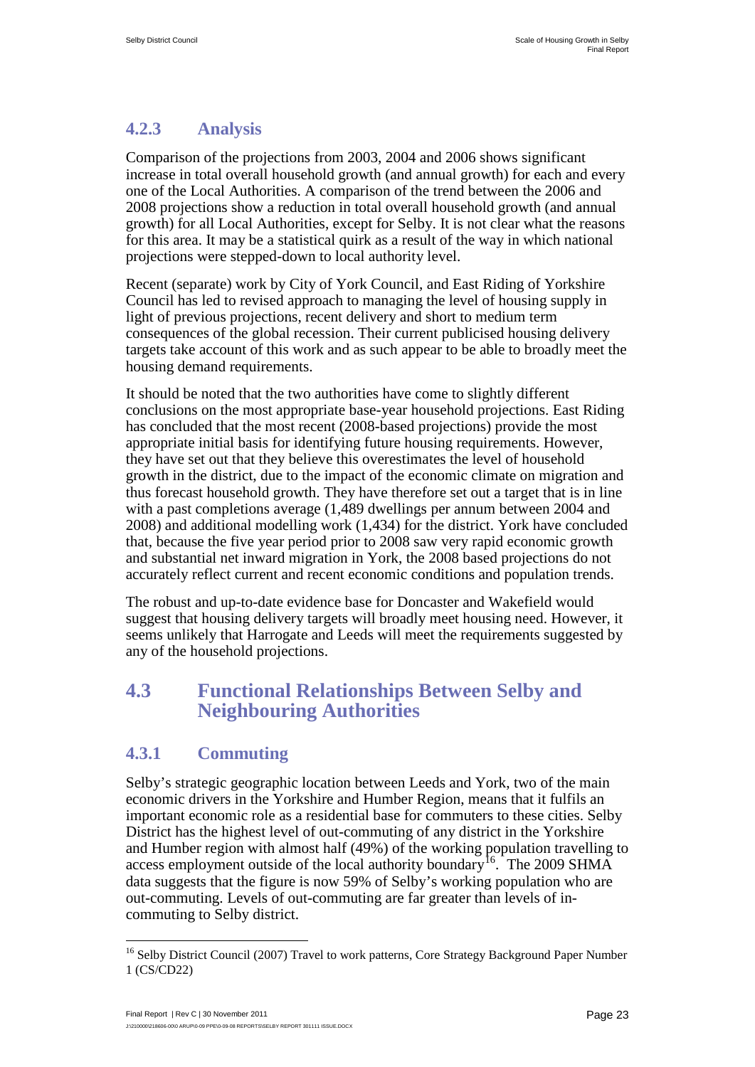#### **4.2.3 Analysis**

Comparison of the projections from 2003, 2004 and 2006 shows significant increase in total overall household growth (and annual growth) for each and every one of the Local Authorities. A comparison of the trend between the 2006 and 2008 projections show a reduction in total overall household growth (and annual growth) for all Local Authorities, except for Selby. It is not clear what the reasons for this area. It may be a statistical quirk as a result of the way in which national projections were stepped-down to local authority level.

Recent (separate) work by City of York Council, and East Riding of Yorkshire Council has led to revised approach to managing the level of housing supply in light of previous projections, recent delivery and short to medium term consequences of the global recession. Their current publicised housing delivery targets take account of this work and as such appear to be able to broadly meet the housing demand requirements.

It should be noted that the two authorities have come to slightly different conclusions on the most appropriate base-year household projections. East Riding has concluded that the most recent (2008-based projections) provide the most appropriate initial basis for identifying future housing requirements. However, they have set out that they believe this overestimates the level of household growth in the district, due to the impact of the economic climate on migration and thus forecast household growth. They have therefore set out a target that is in line with a past completions average (1,489 dwellings per annum between 2004 and 2008) and additional modelling work (1,434) for the district. York have concluded that, because the five year period prior to 2008 saw very rapid economic growth and substantial net inward migration in York, the 2008 based projections do not accurately reflect current and recent economic conditions and population trends.

The robust and up-to-date evidence base for Doncaster and Wakefield would suggest that housing delivery targets will broadly meet housing need. However, it seems unlikely that Harrogate and Leeds will meet the requirements suggested by any of the household projections.

### <span id="page-33-0"></span>**4.3 Functional Relationships Between Selby and Neighbouring Authorities**

#### **4.3.1 Commuting**

Selby's strategic geographic location between Leeds and York, two of the main economic drivers in the Yorkshire and Humber Region, means that it fulfils an important economic role as a residential base for commuters to these cities. Selby District has the highest level of out-commuting of any district in the Yorkshire and Humber region with almost half (49%) of the working population travelling to access employment outside of the local authority boundary<sup>16</sup>. The 2009 SHMA data suggests that the figure is now 59% of Selby's working population who are out-commuting. Levels of out-commuting are far greater than levels of incommuting to Selby district.

<span id="page-33-1"></span><sup>&</sup>lt;sup>16</sup> Selby District Council (2007) Travel to work patterns, Core Strategy Background Paper Number 1 (CS/CD22)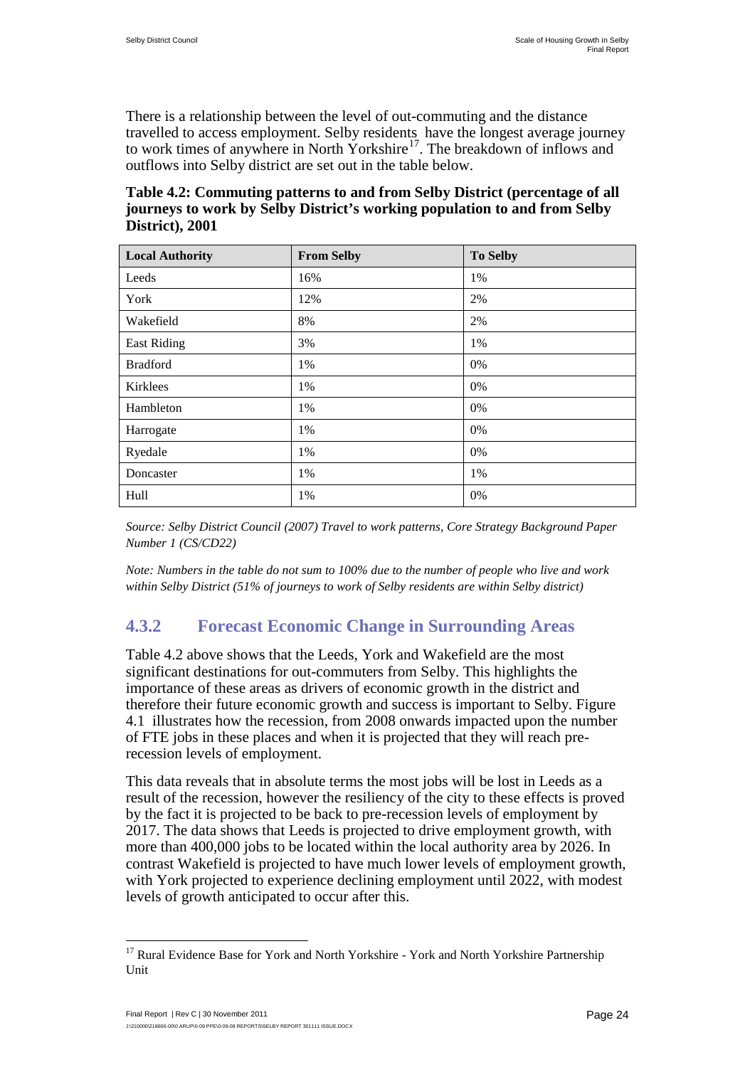There is a relationship between the level of out-commuting and the distance travelled to access employment. Selby residents have the longest average journey to work times of anywhere in North Yorkshire<sup>17</sup>. The breakdown of inflows and outflows into Selby district are set out in the table below.

**Table 4.2: Commuting patterns to and from Selby District (percentage of all journeys to work by Selby District's working population to and from Selby District), 2001** 

| <b>Local Authority</b> | <b>From Selby</b> | <b>To Selby</b> |
|------------------------|-------------------|-----------------|
| Leeds                  | 16%               | 1%              |
| York                   | 12%               | 2%              |
| Wakefield              | 8%                | 2%              |
| <b>East Riding</b>     | 3%                | 1%              |
| <b>Bradford</b>        | 1%                | 0%              |
| Kirklees               | 1%                | 0%              |
| Hambleton              | 1%                | 0%              |
| Harrogate              | 1%                | 0%              |
| Ryedale                | 1%                | 0%              |
| Doncaster              | 1%                | 1%              |
| Hull                   | 1%                | 0%              |

*Source: Selby District Council (2007) Travel to work patterns, Core Strategy Background Paper Number 1 (CS/CD22)*

*Note: Numbers in the table do not sum to 100% due to the number of people who live and work within Selby District (51% of journeys to work of Selby residents are within Selby district)* 

#### **4.3.2 Forecast Economic Change in Surrounding Areas**

Table 4.2 above shows that the Leeds, York and Wakefield are the most significant destinations for out-commuters from Selby. This highlights the importance of these areas as drivers of economic growth in the district and therefore their future economic growth and success is important to Selby. Figure 4.1 illustrates how the recession, from 2008 onwards impacted upon the number of FTE jobs in these places and when it is projected that they will reach prerecession levels of employment.

This data reveals that in absolute terms the most jobs will be lost in Leeds as a result of the recession, however the resiliency of the city to these effects is proved by the fact it is projected to be back to pre-recession levels of employment by 2017. The data shows that Leeds is projected to drive employment growth, with more than 400,000 jobs to be located within the local authority area by 2026. In contrast Wakefield is projected to have much lower levels of employment growth, with York projected to experience declining employment until 2022, with modest levels of growth anticipated to occur after this.

<span id="page-34-0"></span><sup>&</sup>lt;sup>17</sup> Rural Evidence Base for York and North Yorkshire - York and North Yorkshire Partnership Unit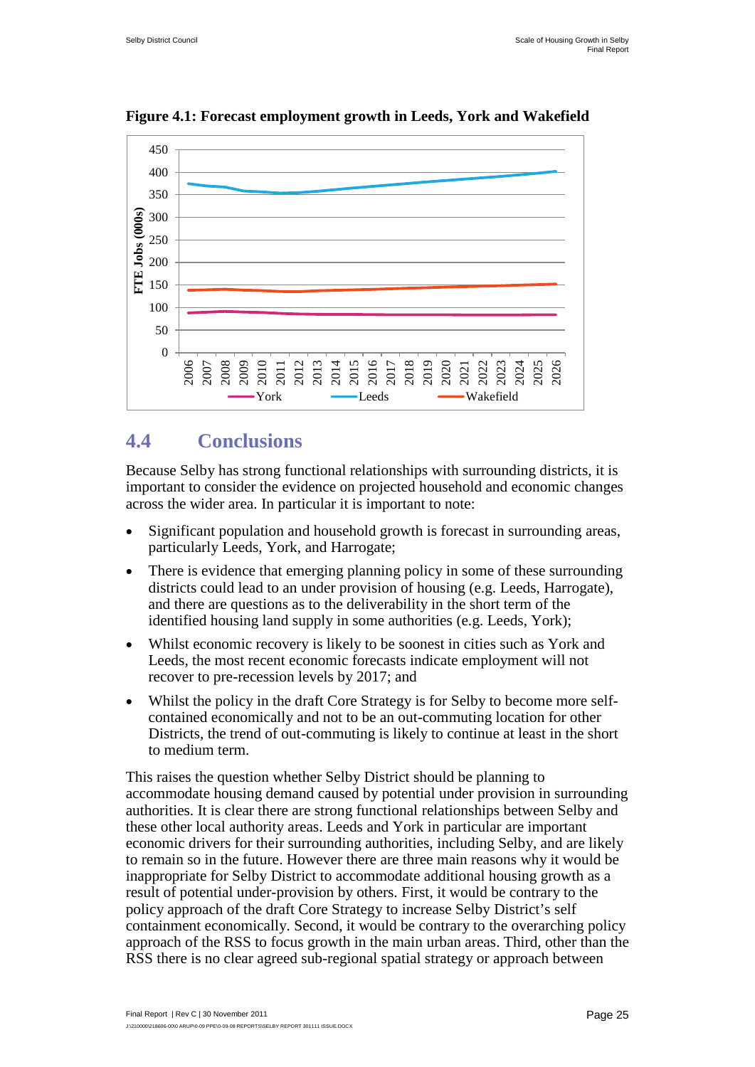

**Figure 4.1: Forecast employment growth in Leeds, York and Wakefield** 

## <span id="page-35-0"></span>**4.4 Conclusions**

Because Selby has strong functional relationships with surrounding districts, it is important to consider the evidence on projected household and economic changes across the wider area. In particular it is important to note:

- Significant population and household growth is forecast in surrounding areas, particularly Leeds, York, and Harrogate;
- There is evidence that emerging planning policy in some of these surrounding districts could lead to an under provision of housing (e.g. Leeds, Harrogate), and there are questions as to the deliverability in the short term of the identified housing land supply in some authorities (e.g. Leeds, York);
- Whilst economic recovery is likely to be soonest in cities such as York and Leeds, the most recent economic forecasts indicate employment will not recover to pre-recession levels by 2017; and
- Whilst the policy in the draft Core Strategy is for Selby to become more selfcontained economically and not to be an out-commuting location for other Districts, the trend of out-commuting is likely to continue at least in the short to medium term.

This raises the question whether Selby District should be planning to accommodate housing demand caused by potential under provision in surrounding authorities. It is clear there are strong functional relationships between Selby and these other local authority areas. Leeds and York in particular are important economic drivers for their surrounding authorities, including Selby, and are likely to remain so in the future. However there are three main reasons why it would be inappropriate for Selby District to accommodate additional housing growth as a result of potential under-provision by others. First, it would be contrary to the policy approach of the draft Core Strategy to increase Selby District's self containment economically. Second, it would be contrary to the overarching policy approach of the RSS to focus growth in the main urban areas. Third, other than the RSS there is no clear agreed sub-regional spatial strategy or approach between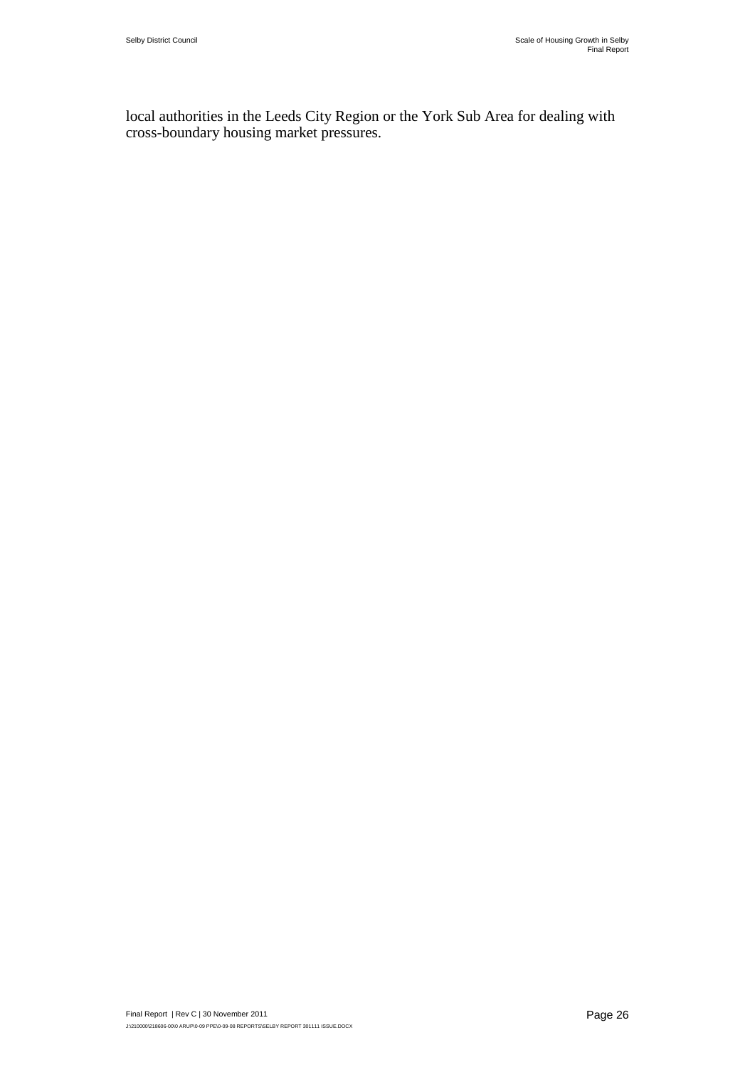local authorities in the Leeds City Region or the York Sub Area for dealing with cross-boundary housing market pressures.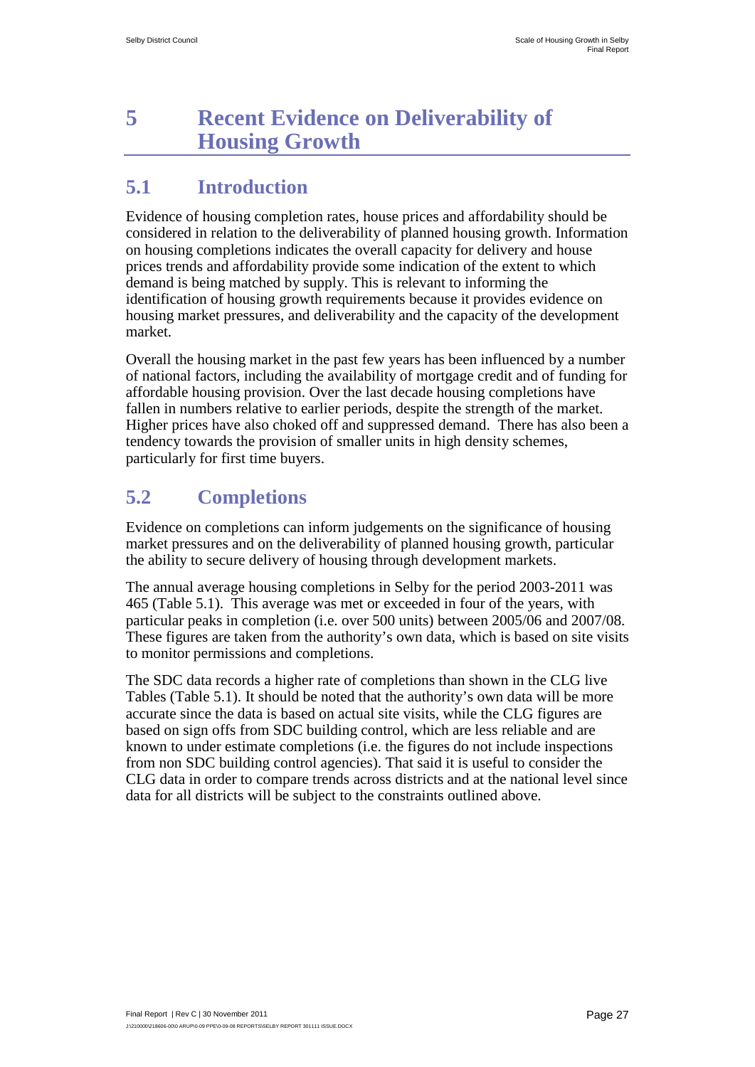# <span id="page-37-0"></span>**5 Recent Evidence on Deliverability of Housing Growth**

## <span id="page-37-1"></span>**5.1 Introduction**

Evidence of housing completion rates, house prices and affordability should be considered in relation to the deliverability of planned housing growth. Information on housing completions indicates the overall capacity for delivery and house prices trends and affordability provide some indication of the extent to which demand is being matched by supply. This is relevant to informing the identification of housing growth requirements because it provides evidence on housing market pressures, and deliverability and the capacity of the development market.

Overall the housing market in the past few years has been influenced by a number of national factors, including the availability of mortgage credit and of funding for affordable housing provision. Over the last decade housing completions have fallen in numbers relative to earlier periods, despite the strength of the market. Higher prices have also choked off and suppressed demand. There has also been a tendency towards the provision of smaller units in high density schemes, particularly for first time buyers.

## <span id="page-37-2"></span>**5.2 Completions**

Evidence on completions can inform judgements on the significance of housing market pressures and on the deliverability of planned housing growth, particular the ability to secure delivery of housing through development markets.

The annual average housing completions in Selby for the period 2003-2011 was 465 (Table 5.1). This average was met or exceeded in four of the years, with particular peaks in completion (i.e. over 500 units) between 2005/06 and 2007/08. These figures are taken from the authority's own data, which is based on site visits to monitor permissions and completions.

The SDC data records a higher rate of completions than shown in the CLG live Tables (Table 5.1). It should be noted that the authority's own data will be more accurate since the data is based on actual site visits, while the CLG figures are based on sign offs from SDC building control, which are less reliable and are known to under estimate completions (i.e. the figures do not include inspections from non SDC building control agencies). That said it is useful to consider the CLG data in order to compare trends across districts and at the national level since data for all districts will be subject to the constraints outlined above.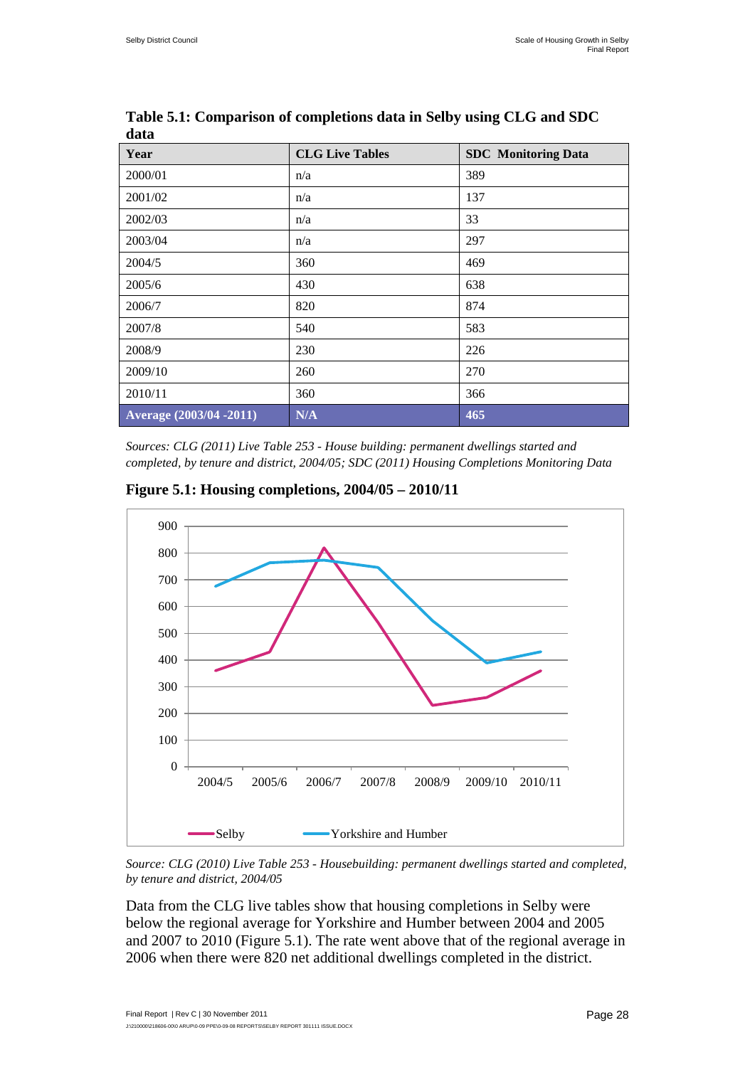| Year                     | <b>CLG Live Tables</b> | <b>SDC</b> Monitoring Data |
|--------------------------|------------------------|----------------------------|
| 2000/01                  | n/a                    | 389                        |
| 2001/02                  | n/a                    | 137                        |
| 2002/03                  | n/a                    | 33                         |
| 2003/04                  | n/a                    | 297                        |
| 2004/5                   | 360                    | 469                        |
| 2005/6                   | 430                    | 638                        |
| 2006/7                   | 820                    | 874                        |
| 2007/8                   | 540                    | 583                        |
| 2008/9                   | 230                    | 226                        |
| 2009/10                  | 260                    | 270                        |
| 2010/11                  | 360                    | 366                        |
| Average (2003/04 - 2011) | N/A                    | 465                        |

**Table 5.1: Comparison of completions data in Selby using CLG and SDC data**

*Sources: CLG (2011) Live Table 253 - House building: permanent dwellings started and completed, by tenure and district, 2004/05; SDC (2011) Housing Completions Monitoring Data*



**Figure 5.1: Housing completions, 2004/05 – 2010/11**

*Source: CLG (2010) Live Table 253 - Housebuilding: permanent dwellings started and completed, by tenure and district, 2004/05*

Data from the CLG live tables show that housing completions in Selby were below the regional average for Yorkshire and Humber between 2004 and 2005 and 2007 to 2010 (Figure 5.1). The rate went above that of the regional average in 2006 when there were 820 net additional dwellings completed in the district.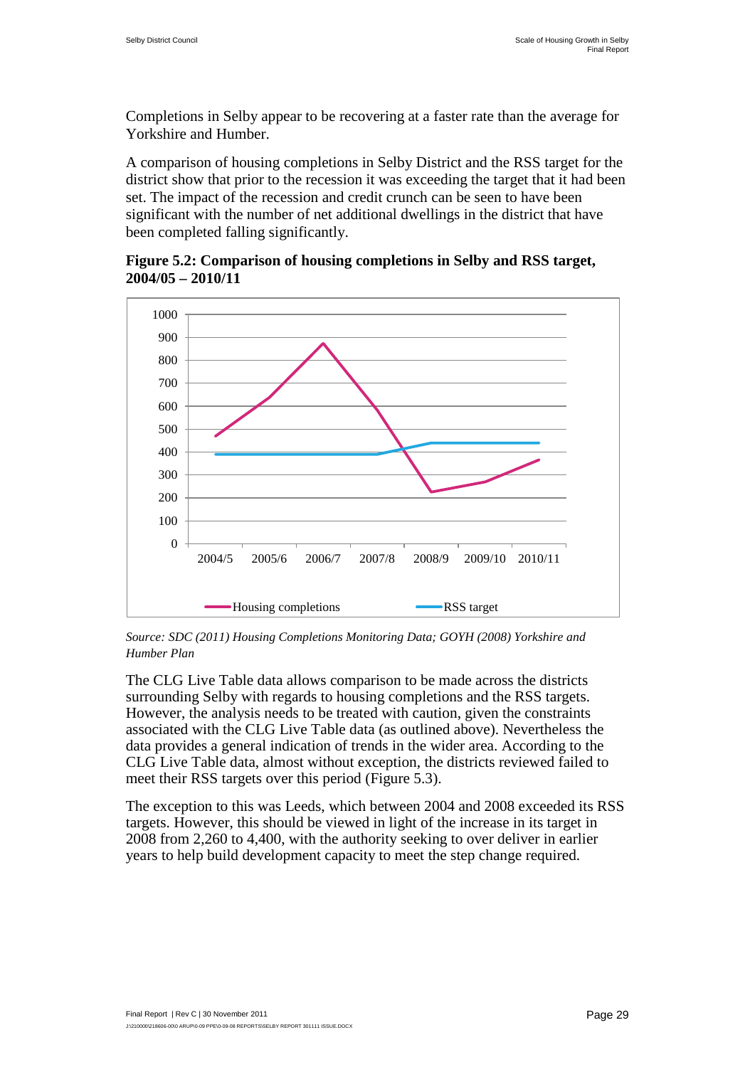Completions in Selby appear to be recovering at a faster rate than the average for Yorkshire and Humber.

A comparison of housing completions in Selby District and the RSS target for the district show that prior to the recession it was exceeding the target that it had been set. The impact of the recession and credit crunch can be seen to have been significant with the number of net additional dwellings in the district that have been completed falling significantly.

**Figure 5.2: Comparison of housing completions in Selby and RSS target, 2004/05 – 2010/11**



*Source: SDC (2011) Housing Completions Monitoring Data; GOYH (2008) Yorkshire and Humber Plan*

The CLG Live Table data allows comparison to be made across the districts surrounding Selby with regards to housing completions and the RSS targets. However, the analysis needs to be treated with caution, given the constraints associated with the CLG Live Table data (as outlined above). Nevertheless the data provides a general indication of trends in the wider area. According to the CLG Live Table data, almost without exception, the districts reviewed failed to meet their RSS targets over this period (Figure 5.3).

The exception to this was Leeds, which between 2004 and 2008 exceeded its RSS targets. However, this should be viewed in light of the increase in its target in 2008 from 2,260 to 4,400, with the authority seeking to over deliver in earlier years to help build development capacity to meet the step change required.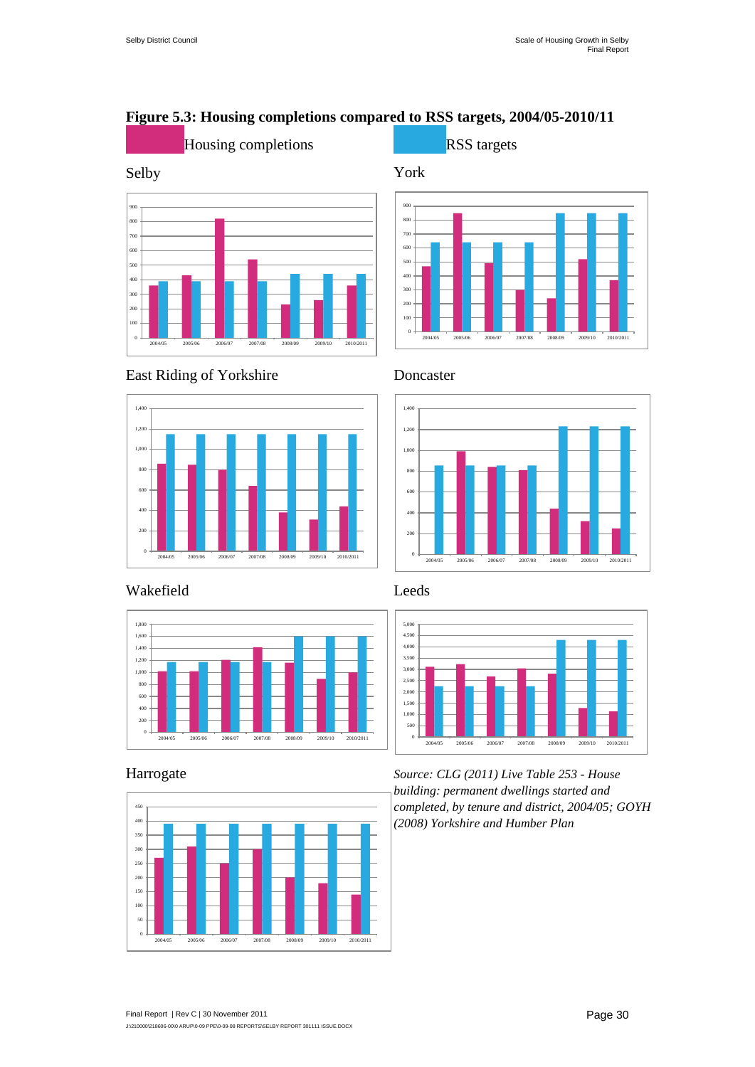#### **Figure 5.3: Housing completions compared to RSS targets, 2004/05-2010/11**









#### East Riding of Yorkshire Doncaster





#### Wakefield Leeds







Harrogate *Source: CLG (2011) Live Table 253 - House building: permanent dwellings started and completed, by tenure and district, 2004/05; GOYH (2008) Yorkshire and Humber Plan*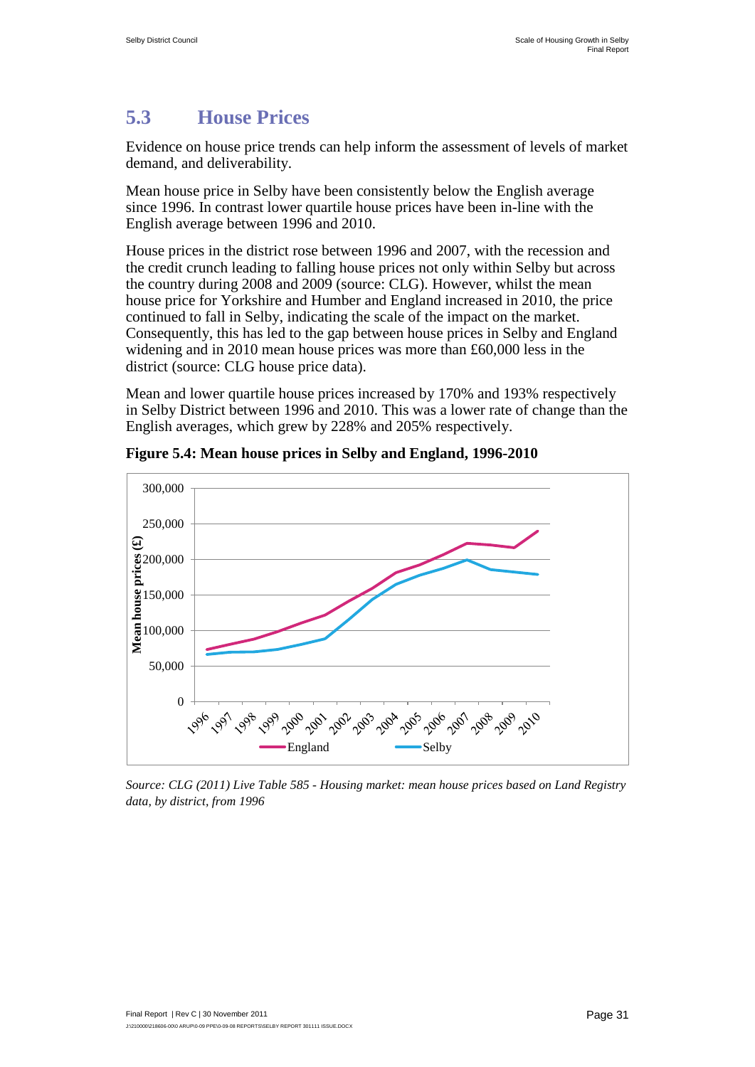## <span id="page-41-0"></span>**5.3 House Prices**

Evidence on house price trends can help inform the assessment of levels of market demand, and deliverability.

Mean house price in Selby have been consistently below the English average since 1996. In contrast lower quartile house prices have been in-line with the English average between 1996 and 2010.

House prices in the district rose between 1996 and 2007, with the recession and the credit crunch leading to falling house prices not only within Selby but across the country during 2008 and 2009 (source: CLG). However, whilst the mean house price for Yorkshire and Humber and England increased in 2010, the price continued to fall in Selby, indicating the scale of the impact on the market. Consequently, this has led to the gap between house prices in Selby and England widening and in 2010 mean house prices was more than £60,000 less in the district (source: CLG house price data).

Mean and lower quartile house prices increased by 170% and 193% respectively in Selby District between 1996 and 2010. This was a lower rate of change than the English averages, which grew by 228% and 205% respectively.



**Figure 5.4: Mean house prices in Selby and England, 1996-2010** 

*Source: CLG (2011) Live Table 585 - Housing market: mean house prices based on Land Registry data, by district, from 1996*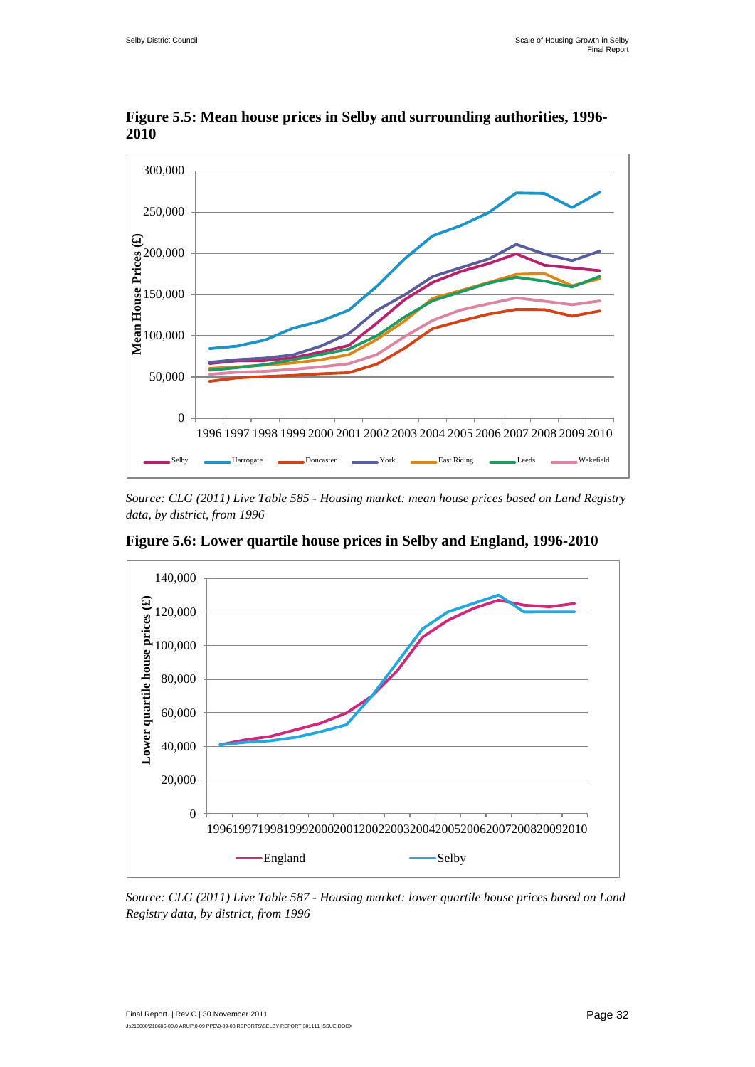

**Figure 5.5: Mean house prices in Selby and surrounding authorities, 1996- 2010**

*Source: CLG (2011) Live Table 585 - Housing market: mean house prices based on Land Registry data, by district, from 1996*



**Figure 5.6: Lower quartile house prices in Selby and England, 1996-2010** 

*Source: CLG (2011) Live Table 587 - Housing market: lower quartile house prices based on Land Registry data, by district, from 1996*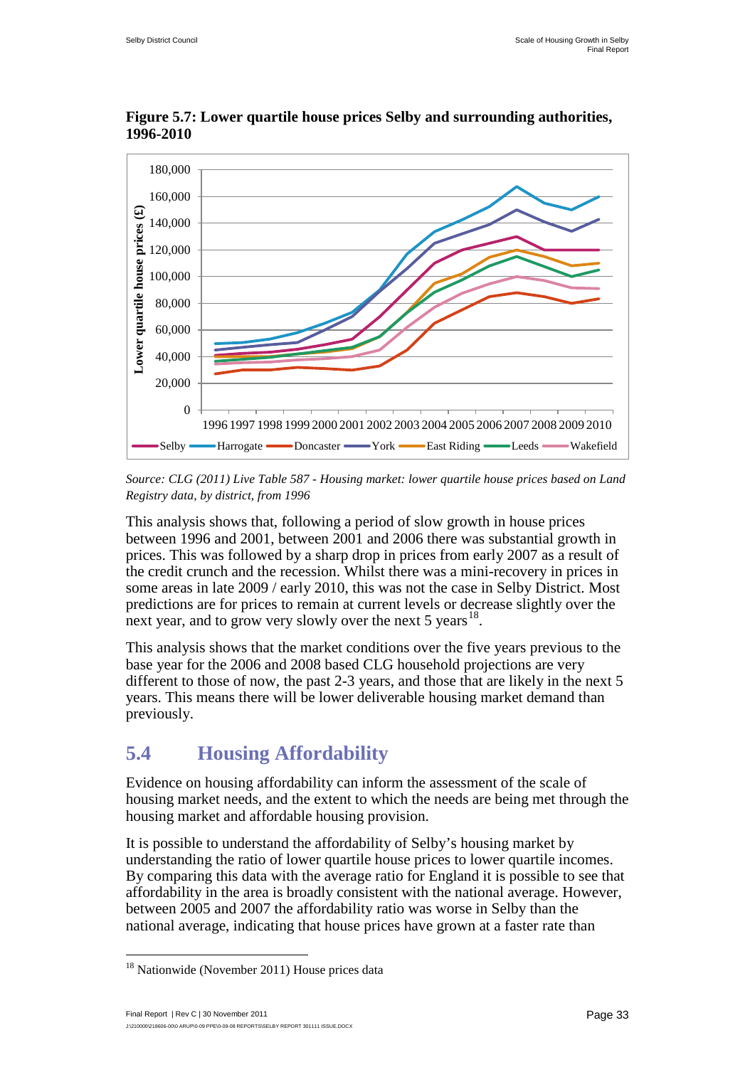

**Figure 5.7: Lower quartile house prices Selby and surrounding authorities, 1996-2010** 

*Source: CLG (2011) Live Table 587 - Housing market: lower quartile house prices based on Land Registry data, by district, from 1996*

This analysis shows that, following a period of slow growth in house prices between 1996 and 2001, between 2001 and 2006 there was substantial growth in prices. This was followed by a sharp drop in prices from early 2007 as a result of the credit crunch and the recession. Whilst there was a mini-recovery in prices in some areas in late 2009 / early 2010, this was not the case in Selby District. Most predictions are for prices to remain at current levels or decrease slightly over the next year, and to grow very slowly over the next 5 years<sup>18</sup>.

This analysis shows that the market conditions over the five years previous to the base year for the 2006 and 2008 based CLG household projections are very different to those of now, the past 2-3 years, and those that are likely in the next 5 years. This means there will be lower deliverable housing market demand than previously.

## <span id="page-43-0"></span>**5.4 Housing Affordability**

Evidence on housing affordability can inform the assessment of the scale of housing market needs, and the extent to which the needs are being met through the housing market and affordable housing provision.

It is possible to understand the affordability of Selby's housing market by understanding the ratio of lower quartile house prices to lower quartile incomes. By comparing this data with the average ratio for England it is possible to see that affordability in the area is broadly consistent with the national average. However, between 2005 and 2007 the affordability ratio was worse in Selby than the national average, indicating that house prices have grown at a faster rate than

<span id="page-43-1"></span><sup>&</sup>lt;sup>18</sup> Nationwide (November 2011) House prices data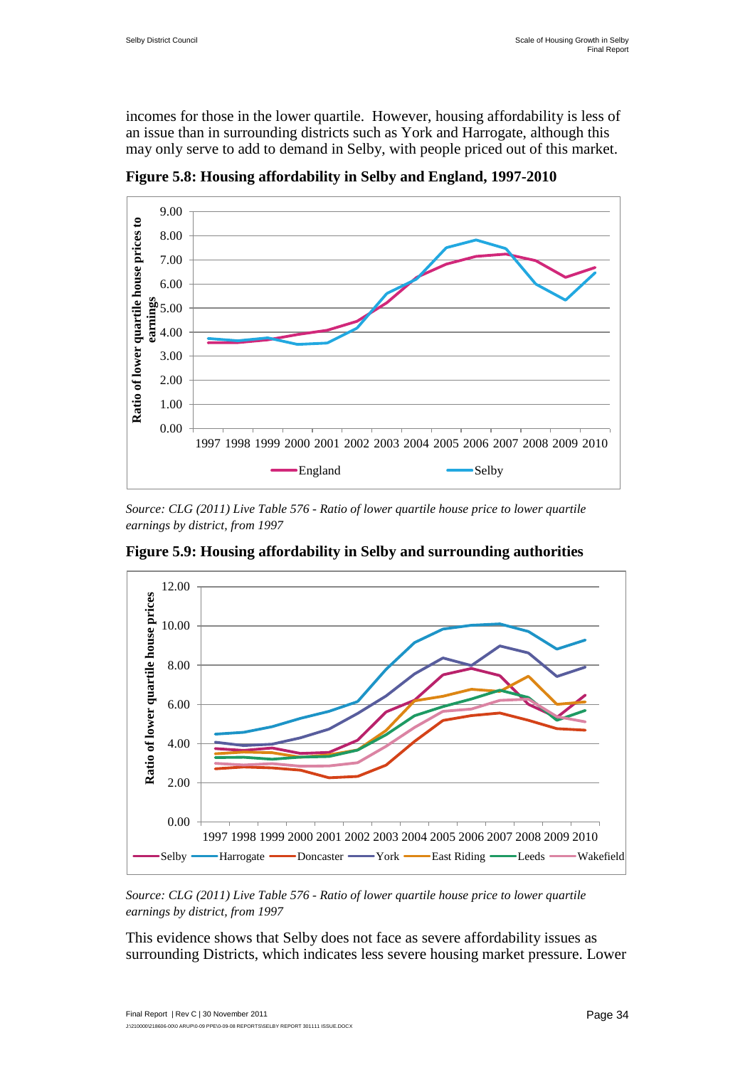incomes for those in the lower quartile. However, housing affordability is less of an issue than in surrounding districts such as York and Harrogate, although this may only serve to add to demand in Selby, with people priced out of this market.



**Figure 5.8: Housing affordability in Selby and England, 1997-2010**

*Source: CLG (2011) Live Table 576 - Ratio of lower quartile house price to lower quartile earnings by district, from 1997*



**Figure 5.9: Housing affordability in Selby and surrounding authorities**

*Source: CLG (2011) Live Table 576 - Ratio of lower quartile house price to lower quartile earnings by district, from 1997*

This evidence shows that Selby does not face as severe affordability issues as surrounding Districts, which indicates less severe housing market pressure. Lower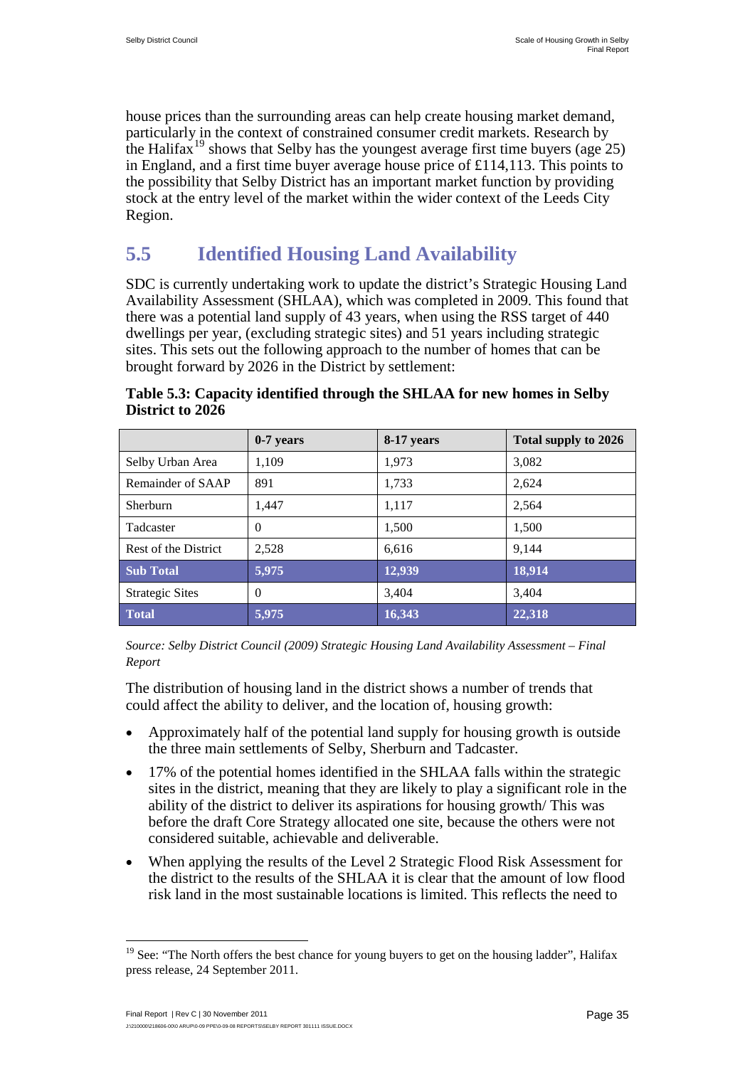house prices than the surrounding areas can help create housing market demand, particularly in the context of constrained consumer credit markets. Research by the Halifax<sup>[19](#page-43-1)</sup> shows that Selby has the youngest average first time buyers (age  $25$ ) in England, and a first time buyer average house price of £114,113. This points to the possibility that Selby District has an important market function by providing stock at the entry level of the market within the wider context of the Leeds City Region.

## <span id="page-45-0"></span>**5.5 Identified Housing Land Availability**

SDC is currently undertaking work to update the district's Strategic Housing Land Availability Assessment (SHLAA), which was completed in 2009. This found that there was a potential land supply of 43 years, when using the RSS target of 440 dwellings per year, (excluding strategic sites) and 51 years including strategic sites. This sets out the following approach to the number of homes that can be brought forward by 2026 in the District by settlement:

|                        | $0-7$ years | 8-17 years | Total supply to 2026 |
|------------------------|-------------|------------|----------------------|
| Selby Urban Area       | 1,109       | 1,973      | 3,082                |
| Remainder of SAAP      | 891         | 1,733      | 2.624                |
| Sherburn               | 1.447       | 1,117      | 2,564                |
| Tadcaster              | $\Omega$    | 1,500      | 1,500                |
| Rest of the District   | 2.528       | 6.616      | 9.144                |
| <b>Sub Total</b>       | 5,975       | 12,939     | 18,914               |
| <b>Strategic Sites</b> | $\Omega$    | 3,404      | 3.404                |
| <b>Total</b>           | 5,975       | 16,343     | 22,318               |

**Table 5.3: Capacity identified through the SHLAA for new homes in Selby District to 2026**

*Source: Selby District Council (2009) Strategic Housing Land Availability Assessment – Final Report* 

The distribution of housing land in the district shows a number of trends that could affect the ability to deliver, and the location of, housing growth:

- Approximately half of the potential land supply for housing growth is outside the three main settlements of Selby, Sherburn and Tadcaster.
- 17% of the potential homes identified in the SHLAA falls within the strategic sites in the district, meaning that they are likely to play a significant role in the ability of the district to deliver its aspirations for housing growth/ This was before the draft Core Strategy allocated one site, because the others were not considered suitable, achievable and deliverable.
- When applying the results of the Level 2 Strategic Flood Risk Assessment for the district to the results of the SHLAA it is clear that the amount of low flood risk land in the most sustainable locations is limited. This reflects the need to

<sup>&</sup>lt;sup>19</sup> See: "The North offers the best chance for young buyers to get on the housing ladder", Halifax press release, 24 September 2011.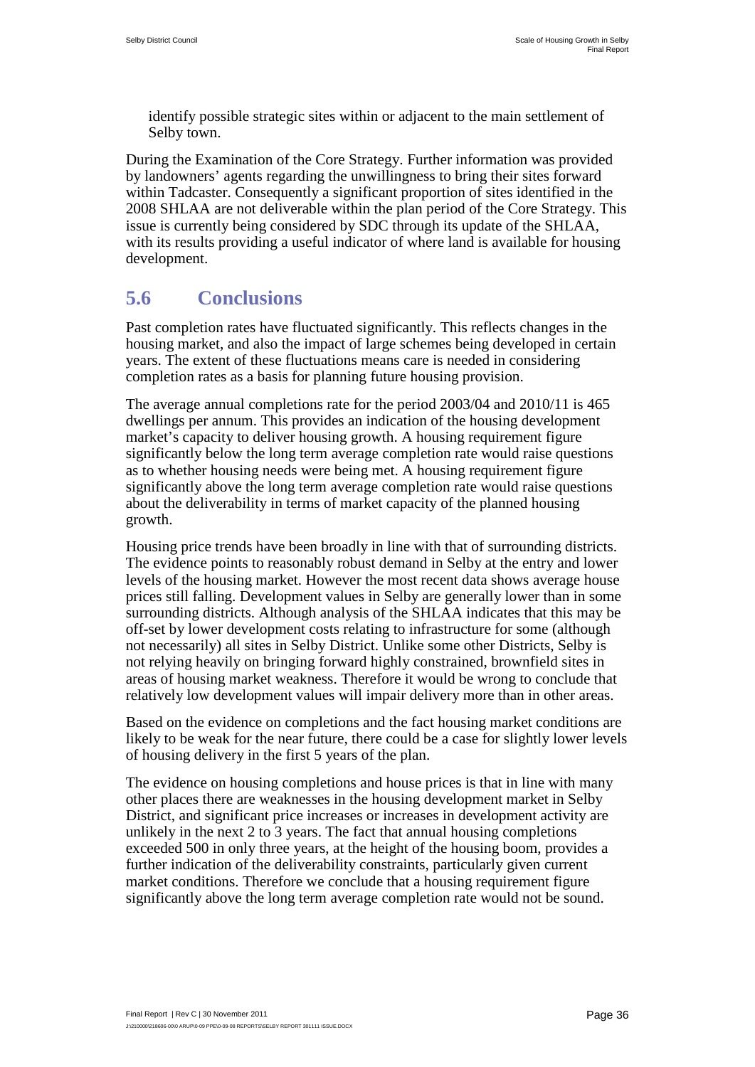identify possible strategic sites within or adjacent to the main settlement of Selby town.

During the Examination of the Core Strategy. Further information was provided by landowners' agents regarding the unwillingness to bring their sites forward within Tadcaster. Consequently a significant proportion of sites identified in the 2008 SHLAA are not deliverable within the plan period of the Core Strategy. This issue is currently being considered by SDC through its update of the SHLAA, with its results providing a useful indicator of where land is available for housing development.

## <span id="page-46-0"></span>**5.6 Conclusions**

Past completion rates have fluctuated significantly. This reflects changes in the housing market, and also the impact of large schemes being developed in certain years. The extent of these fluctuations means care is needed in considering completion rates as a basis for planning future housing provision.

The average annual completions rate for the period 2003/04 and 2010/11 is 465 dwellings per annum. This provides an indication of the housing development market's capacity to deliver housing growth. A housing requirement figure significantly below the long term average completion rate would raise questions as to whether housing needs were being met. A housing requirement figure significantly above the long term average completion rate would raise questions about the deliverability in terms of market capacity of the planned housing growth.

Housing price trends have been broadly in line with that of surrounding districts. The evidence points to reasonably robust demand in Selby at the entry and lower levels of the housing market. However the most recent data shows average house prices still falling. Development values in Selby are generally lower than in some surrounding districts. Although analysis of the SHLAA indicates that this may be off-set by lower development costs relating to infrastructure for some (although not necessarily) all sites in Selby District. Unlike some other Districts, Selby is not relying heavily on bringing forward highly constrained, brownfield sites in areas of housing market weakness. Therefore it would be wrong to conclude that relatively low development values will impair delivery more than in other areas.

Based on the evidence on completions and the fact housing market conditions are likely to be weak for the near future, there could be a case for slightly lower levels of housing delivery in the first 5 years of the plan.

The evidence on housing completions and house prices is that in line with many other places there are weaknesses in the housing development market in Selby District, and significant price increases or increases in development activity are unlikely in the next 2 to 3 years. The fact that annual housing completions exceeded 500 in only three years, at the height of the housing boom, provides a further indication of the deliverability constraints, particularly given current market conditions. Therefore we conclude that a housing requirement figure significantly above the long term average completion rate would not be sound.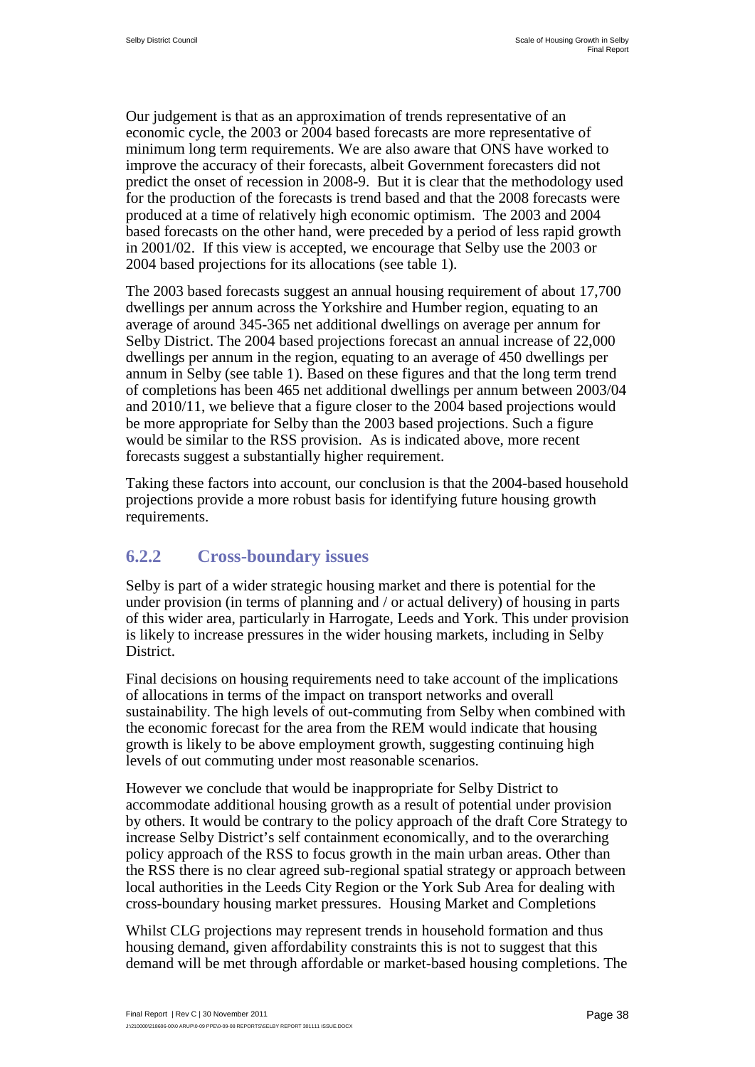Our judgement is that as an approximation of trends representative of an economic cycle, the 2003 or 2004 based forecasts are more representative of minimum long term requirements. We are also aware that ONS have worked to improve the accuracy of their forecasts, albeit Government forecasters did not predict the onset of recession in 2008-9. But it is clear that the methodology used for the production of the forecasts is trend based and that the 2008 forecasts were produced at a time of relatively high economic optimism. The 2003 and 2004 based forecasts on the other hand, were preceded by a period of less rapid growth in 2001/02. If this view is accepted, we encourage that Selby use the 2003 or 2004 based projections for its allocations (see table 1).

The 2003 based forecasts suggest an annual housing requirement of about 17,700 dwellings per annum across the Yorkshire and Humber region, equating to an average of around 345-365 net additional dwellings on average per annum for Selby District. The 2004 based projections forecast an annual increase of 22,000 dwellings per annum in the region, equating to an average of 450 dwellings per annum in Selby (see table 1). Based on these figures and that the long term trend of completions has been 465 net additional dwellings per annum between 2003/04 and 2010/11, we believe that a figure closer to the 2004 based projections would be more appropriate for Selby than the 2003 based projections. Such a figure would be similar to the RSS provision. As is indicated above, more recent forecasts suggest a substantially higher requirement.

Taking these factors into account, our conclusion is that the 2004-based household projections provide a more robust basis for identifying future housing growth requirements.

#### **6.2.2 Cross-boundary issues**

Selby is part of a wider strategic housing market and there is potential for the under provision (in terms of planning and / or actual delivery) of housing in parts of this wider area, particularly in Harrogate, Leeds and York. This under provision is likely to increase pressures in the wider housing markets, including in Selby District.

Final decisions on housing requirements need to take account of the implications of allocations in terms of the impact on transport networks and overall sustainability. The high levels of out-commuting from Selby when combined with the economic forecast for the area from the REM would indicate that housing growth is likely to be above employment growth, suggesting continuing high levels of out commuting under most reasonable scenarios.

However we conclude that would be inappropriate for Selby District to accommodate additional housing growth as a result of potential under provision by others. It would be contrary to the policy approach of the draft Core Strategy to increase Selby District's self containment economically, and to the overarching policy approach of the RSS to focus growth in the main urban areas. Other than the RSS there is no clear agreed sub-regional spatial strategy or approach between local authorities in the Leeds City Region or the York Sub Area for dealing with cross-boundary housing market pressures. Housing Market and Completions

Whilst CLG projections may represent trends in household formation and thus housing demand, given affordability constraints this is not to suggest that this demand will be met through affordable or market-based housing completions. The